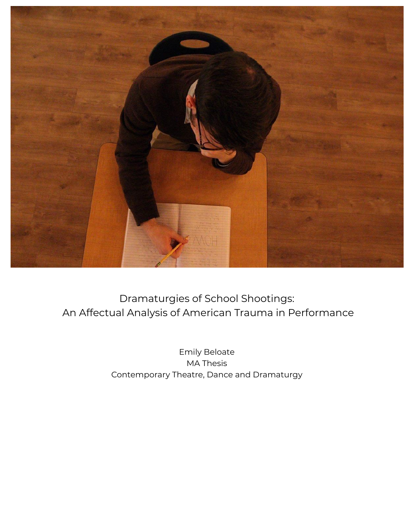

Dramaturgies of School Shootings: An Affectual Analysis of American Trauma in Performance

> Emily Beloate MA Thesis Contemporary Theatre, Dance and Dramaturgy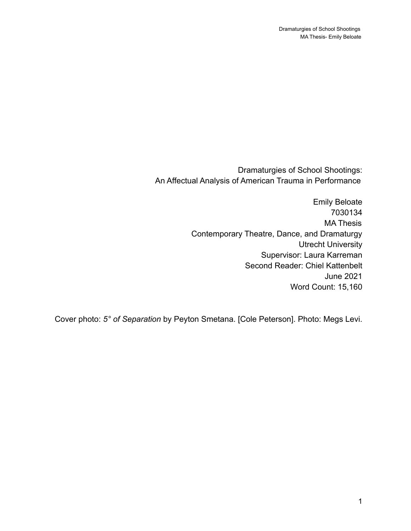Dramaturgies of School Shootings: An Affectual Analysis of American Trauma in Performance

> Emily Beloate 7030134 MA Thesis Contemporary Theatre, Dance, and Dramaturgy Utrecht University Supervisor: Laura Karreman Second Reader: Chiel Kattenbelt June 2021 Word Count: 15,160

Cover photo: *5° of Separation* by Peyton Smetana. [Cole Peterson]. Photo: Megs Levi.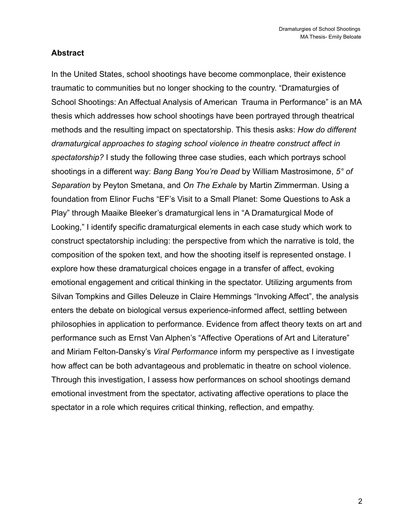#### **Abstract**

In the United States, school shootings have become commonplace, their existence traumatic to communities but no longer shocking to the country. "Dramaturgies of School Shootings: An Affectual Analysis of American Trauma in Performance" is an MA thesis which addresses how school shootings have been portrayed through theatrical methods and the resulting impact on spectatorship. This thesis asks: *How do different dramaturgical approaches to staging school violence in theatre construct affect in spectatorship?* I study the following three case studies, each which portrays school shootings in a different way: *Bang Bang You're Dead* by William Mastrosimone, *5° of Separation* by Peyton Smetana, and *On The Exhale* by Martin Zimmerman. Using a foundation from Elinor Fuchs "EF's Visit to a Small Planet: Some Questions to Ask a Play" through Maaike Bleeker's dramaturgical lens in "A Dramaturgical Mode of Looking," I identify specific dramaturgical elements in each case study which work to construct spectatorship including: the perspective from which the narrative is told, the composition of the spoken text, and how the shooting itself is represented onstage. I explore how these dramaturgical choices engage in a transfer of affect, evoking emotional engagement and critical thinking in the spectator. Utilizing arguments from Silvan Tompkins and Gilles Deleuze in Claire Hemmings "Invoking Affect", the analysis enters the debate on biological versus experience-informed affect, settling between philosophies in application to performance. Evidence from affect theory texts on art and performance such as Ernst Van Alphen's "Affective Operations of Art and Literature" and Miriam Felton-Dansky's *Viral Performance* inform my perspective as I investigate how affect can be both advantageous and problematic in theatre on school violence. Through this investigation, I assess how performances on school shootings demand emotional investment from the spectator, activating affective operations to place the spectator in a role which requires critical thinking, reflection, and empathy.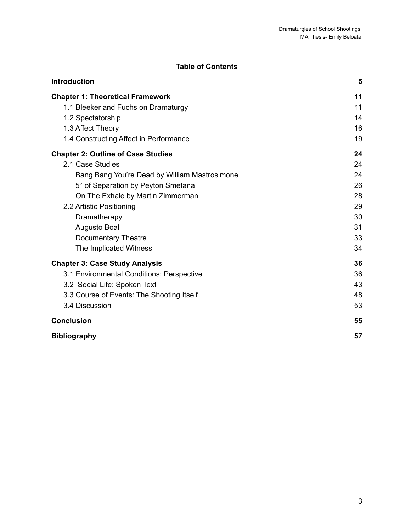### **Table of Contents**

| <b>Introduction</b>                           | 5  |
|-----------------------------------------------|----|
| <b>Chapter 1: Theoretical Framework</b>       | 11 |
| 1.1 Bleeker and Fuchs on Dramaturgy           | 11 |
| 1.2 Spectatorship                             | 14 |
| 1.3 Affect Theory                             | 16 |
| 1.4 Constructing Affect in Performance        | 19 |
| <b>Chapter 2: Outline of Case Studies</b>     | 24 |
| 2.1 Case Studies                              | 24 |
| Bang Bang You're Dead by William Mastrosimone | 24 |
| 5° of Separation by Peyton Smetana            | 26 |
| On The Exhale by Martin Zimmerman             | 28 |
| 2.2 Artistic Positioning                      | 29 |
| Dramatherapy                                  | 30 |
| Augusto Boal                                  | 31 |
| <b>Documentary Theatre</b>                    | 33 |
| The Implicated Witness                        | 34 |
| <b>Chapter 3: Case Study Analysis</b>         | 36 |
| 3.1 Environmental Conditions: Perspective     | 36 |
| 3.2 Social Life: Spoken Text                  | 43 |
| 3.3 Course of Events: The Shooting Itself     | 48 |
| 3.4 Discussion                                | 53 |
| <b>Conclusion</b>                             | 55 |
| <b>Bibliography</b>                           | 57 |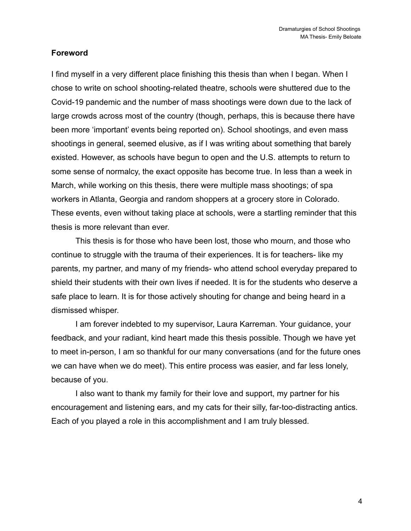#### **Foreword**

I find myself in a very different place finishing this thesis than when I began. When I chose to write on school shooting-related theatre, schools were shuttered due to the Covid-19 pandemic and the number of mass shootings were down due to the lack of large crowds across most of the country (though, perhaps, this is because there have been more 'important' events being reported on). School shootings, and even mass shootings in general, seemed elusive, as if I was writing about something that barely existed. However, as schools have begun to open and the U.S. attempts to return to some sense of normalcy, the exact opposite has become true. In less than a week in March, while working on this thesis, there were multiple mass shootings; of spa workers in Atlanta, Georgia and random shoppers at a grocery store in Colorado. These events, even without taking place at schools, were a startling reminder that this thesis is more relevant than ever.

This thesis is for those who have been lost, those who mourn, and those who continue to struggle with the trauma of their experiences. It is for teachers- like my parents, my partner, and many of my friends- who attend school everyday prepared to shield their students with their own lives if needed. It is for the students who deserve a safe place to learn. It is for those actively shouting for change and being heard in a dismissed whisper.

I am forever indebted to my supervisor, Laura Karreman. Your guidance, your feedback, and your radiant, kind heart made this thesis possible. Though we have yet to meet in-person, I am so thankful for our many conversations (and for the future ones we can have when we do meet). This entire process was easier, and far less lonely, because of you.

I also want to thank my family for their love and support, my partner for his encouragement and listening ears, and my cats for their silly, far-too-distracting antics. Each of you played a role in this accomplishment and I am truly blessed.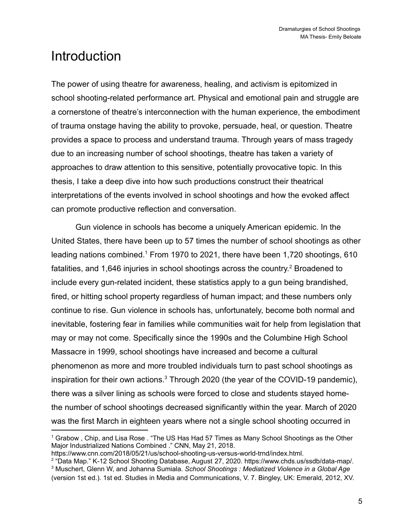# <span id="page-5-0"></span>**Introduction**

The power of using theatre for awareness, healing, and activism is epitomized in school shooting-related performance art. Physical and emotional pain and struggle are a cornerstone of theatre's interconnection with the human experience, the embodiment of trauma onstage having the ability to provoke, persuade, heal, or question. Theatre provides a space to process and understand trauma. Through years of mass tragedy due to an increasing number of school shootings, theatre has taken a variety of approaches to draw attention to this sensitive, potentially provocative topic. In this thesis, I take a deep dive into how such productions construct their theatrical interpretations of the events involved in school shootings and how the evoked affect can promote productive reflection and conversation.

Gun violence in schools has become a uniquely American epidemic. In the United States, there have been up to 57 times the number of school shootings as other leading nations combined.<sup>1</sup> From 1970 to 2021, there have been 1,720 shootings, 610 fatalities, and 1,646 injuries in school shootings across the country.<sup>2</sup> Broadened to include every gun-related incident, these statistics apply to a gun being brandished, fired, or hitting school property regardless of human impact; and these numbers only continue to rise. Gun violence in schools has, unfortunately, become both normal and inevitable, fostering fear in families while communities wait for help from legislation that may or may not come. Specifically since the 1990s and the Columbine High School Massacre in 1999, school shootings have increased and become a cultural phenomenon as more and more troubled individuals turn to past school shootings as inspiration for their own actions.<sup>3</sup> Through 2020 (the year of the COVID-19 pandemic), there was a silver lining as schools were forced to close and students stayed homethe number of school shootings decreased significantly within the year. March of 2020 was the first March in eighteen years where not a single school shooting occurred in

<sup>1</sup> Grabow , Chip, and Lisa Rose . "The US Has Had 57 Times as Many School Shootings as the Other Major Industrialized Nations Combined ." CNN, May 21, 2018.

https://www.cnn.com/2018/05/21/us/school-shooting-us-versus-world-trnd/index.html.

<sup>2</sup> "Data Map." K-12 School Shooting Database, August 27, 2020. https://www.chds.us/ssdb/data-map/.

<sup>3</sup> Muschert, Glenn W, and Johanna Sumiala. *School Shootings : Mediatized Violence in a Global Age* (version 1st ed.). 1st ed. Studies in Media and Communications, V. 7. Bingley, UK: Emerald, 2012, XV.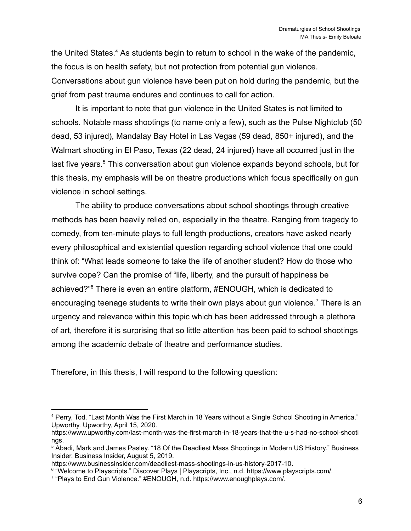the United States.<sup>4</sup> As students begin to return to school in the wake of the pandemic, the focus is on health safety, but not protection from potential gun violence. Conversations about gun violence have been put on hold during the pandemic, but the grief from past trauma endures and continues to call for action.

It is important to note that gun violence in the United States is not limited to schools. Notable mass shootings (to name only a few), such as the Pulse Nightclub (50 dead, 53 injured), Mandalay Bay Hotel in Las Vegas (59 dead, 850+ injured), and the Walmart shooting in El Paso, Texas (22 dead, 24 injured) have all occurred just in the last five years.<sup>5</sup> This conversation about gun violence expands beyond schools, but for this thesis, my emphasis will be on theatre productions which focus specifically on gun violence in school settings.

The ability to produce conversations about school shootings through creative methods has been heavily relied on, especially in the theatre. Ranging from tragedy to comedy, from ten-minute plays to full length productions, creators have asked nearly every philosophical and existential question regarding school violence that one could think of: "What leads someone to take the life of another student? How do those who survive cope? Can the promise of "life, liberty, and the pursuit of happiness be achieved?"<sup>6</sup> There is even an entire platform, #ENOUGH, which is dedicated to encouraging teenage students to write their own plays about gun violence.<sup>7</sup> There is an urgency and relevance within this topic which has been addressed through a plethora of art, therefore it is surprising that so little attention has been paid to school shootings among the academic debate of theatre and performance studies.

Therefore, in this thesis, I will respond to the following question:

<sup>4</sup> Perry, Tod. "Last Month Was the First March in 18 Years without a Single School Shooting in America." Upworthy. Upworthy, April 15, 2020.

https://www.upworthy.com/last-month-was-the-first-march-in-18-years-that-the-u-s-had-no-school-shooti ngs.

<sup>5</sup> Abadi, Mark and James Pasley. "18 Of the Deadliest Mass Shootings in Modern US History." Business Insider. Business Insider, August 5, 2019.

https://www.businessinsider.com/deadliest-mass-shootings-in-us-history-2017-10.

<sup>&</sup>lt;sup>6</sup> "Welcome to Playscripts." Discover Plays | Playscripts, Inc., n.d. https://www.playscripts.com/.

<sup>&</sup>lt;sup>7</sup> "Plays to End Gun Violence." #ENOUGH, n.d. https://www.enoughplays.com/.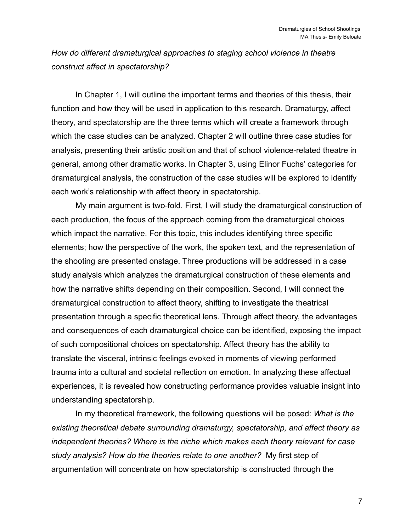*How do different dramaturgical approaches to staging school violence in theatre construct affect in spectatorship?*

In Chapter 1, I will outline the important terms and theories of this thesis, their function and how they will be used in application to this research. Dramaturgy, affect theory, and spectatorship are the three terms which will create a framework through which the case studies can be analyzed. Chapter 2 will outline three case studies for analysis, presenting their artistic position and that of school violence-related theatre in general, among other dramatic works. In Chapter 3, using Elinor Fuchs' categories for dramaturgical analysis, the construction of the case studies will be explored to identify each work's relationship with affect theory in spectatorship.

My main argument is two-fold. First, I will study the dramaturgical construction of each production, the focus of the approach coming from the dramaturgical choices which impact the narrative. For this topic, this includes identifying three specific elements; how the perspective of the work, the spoken text, and the representation of the shooting are presented onstage. Three productions will be addressed in a case study analysis which analyzes the dramaturgical construction of these elements and how the narrative shifts depending on their composition. Second, I will connect the dramaturgical construction to affect theory, shifting to investigate the theatrical presentation through a specific theoretical lens. Through affect theory, the advantages and consequences of each dramaturgical choice can be identified, exposing the impact of such compositional choices on spectatorship. Affect theory has the ability to translate the visceral, intrinsic feelings evoked in moments of viewing performed trauma into a cultural and societal reflection on emotion. In analyzing these affectual experiences, it is revealed how constructing performance provides valuable insight into understanding spectatorship.

In my theoretical framework, the following questions will be posed: *What is the existing theoretical debate surrounding dramaturgy, spectatorship, and affect theory as independent theories? Where is the niche which makes each theory relevant for case study analysis? How do the theories relate to one another?* My first step of argumentation will concentrate on how spectatorship is constructed through the

7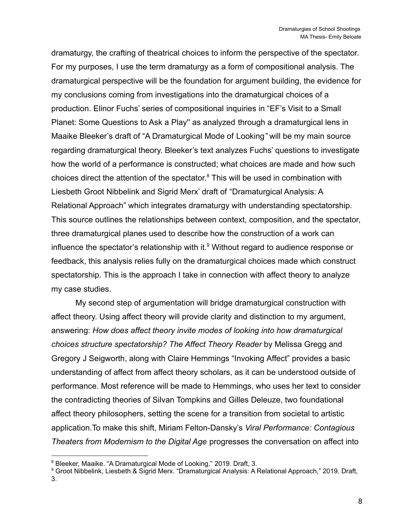dramaturgy, the crafting of theatrical choices to inform the perspective of the spectator. For my purposes, I use the term dramaturgy as a form of compositional analysis. The dramaturgical perspective will be the foundation for argument building, the evidence for my conclusions coming from investigations into the dramaturgical choices of a production. Elinor Fuchs' series of compositional inquiries in "EF's Visit to a Small Planet: Some Questions to Ask a Play'' as analyzed through a dramaturgical lens in Maaike Bleeker's draft of "A Dramaturgical Mode of Looking*"* will be my main source regarding dramaturgical theory. Bleeker's text analyzes Fuchs' questions to investigate how the world of a performance is constructed; what choices are made and how such choices direct the attention of the spectator. <sup>8</sup> This will be used in combination with Liesbeth Groot Nibbelink and Sigrid Merx' draft of "Dramaturgical Analysis: A Relational Approach" which integrates dramaturgy with understanding spectatorship. This source outlines the relationships between context, composition, and the spectator, three dramaturgical planes used to describe how the construction of a work can influence the spectator's relationship with it. $9$  Without regard to audience response or feedback, this analysis relies fully on the dramaturgical choices made which construct spectatorship. This is the approach I take in connection with affect theory to analyze my case studies.

My second step of argumentation will bridge dramaturgical construction with affect theory. Using affect theory will provide clarity and distinction to my argument, answering: *How does affect theory invite modes of looking into how dramaturgical choices structure spectatorship? The Affect Theory Reader* by Melissa Gregg and Gregory J Seigworth, along with Claire Hemmings "Invoking Affect" provides a basic understanding of affect from affect theory scholars, as it can be understood outside of performance. Most reference will be made to Hemmings, who uses her text to consider the contradicting theories of Silvan Tompkins and Gilles Deleuze, two foundational affect theory philosophers, setting the scene for a transition from societal to artistic application.To make this shift, Miriam Felton-Dansky's *Viral Performance: Contagious Theaters from Modernism to the Digital Age* progresses the conversation on affect into

<sup>8</sup> Bleeker, Maaike. "A Dramaturgical Mode of Looking," 2019. Draft, 3.

<sup>9</sup> Groot Nibbelink, Liesbeth & Sigrid Merx. "Dramaturgical Analysis: A Relational Approach," 2019. Draft, 3.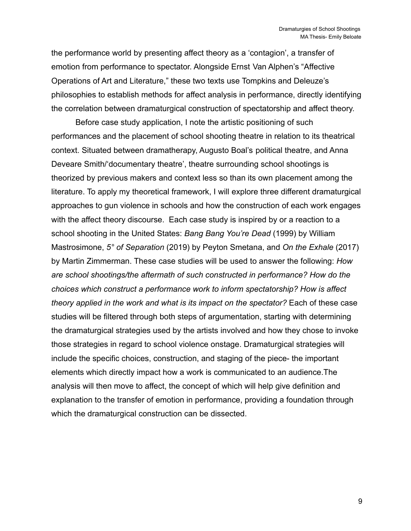the performance world by presenting affect theory as a 'contagion', a transfer of emotion from performance to spectator. Alongside Ernst Van Alphen's "Affective Operations of Art and Literature," these two texts use Tompkins and Deleuze's philosophies to establish methods for affect analysis in performance, directly identifying the correlation between dramaturgical construction of spectatorship and affect theory.

Before case study application, I note the artistic positioning of such performances and the placement of school shooting theatre in relation to its theatrical context. Situated between dramatherapy, Augusto Boal's political theatre, and Anna Deveare Smith/'documentary theatre', theatre surrounding school shootings is theorized by previous makers and context less so than its own placement among the literature. To apply my theoretical framework, I will explore three different dramaturgical approaches to gun violence in schools and how the construction of each work engages with the affect theory discourse. Each case study is inspired by or a reaction to a school shooting in the United States: *Bang Bang You're Dead* (1999) by William Mastrosimone, *5° of Separation* (2019) by Peyton Smetana, and *On the Exhale* (2017) by Martin Zimmerman. These case studies will be used to answer the following: *How are school shootings/the aftermath of such constructed in performance? How do the choices which construct a performance work to inform spectatorship? How is affect theory applied in the work and what is its impact on the spectator?* Each of these case studies will be filtered through both steps of argumentation, starting with determining the dramaturgical strategies used by the artists involved and how they chose to invoke those strategies in regard to school violence onstage. Dramaturgical strategies will include the specific choices, construction, and staging of the piece- the important elements which directly impact how a work is communicated to an audience.The analysis will then move to affect, the concept of which will help give definition and explanation to the transfer of emotion in performance, providing a foundation through which the dramaturgical construction can be dissected.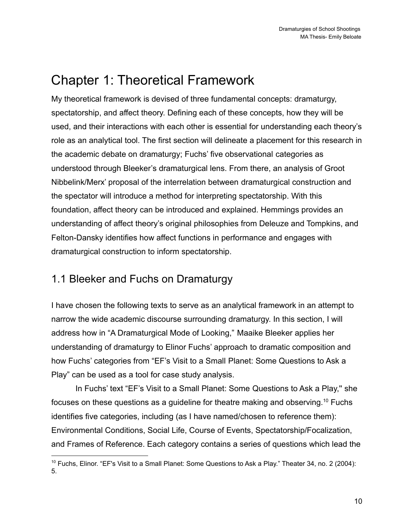# <span id="page-10-0"></span>Chapter 1: Theoretical Framework

My theoretical framework is devised of three fundamental concepts: dramaturgy, spectatorship, and affect theory. Defining each of these concepts, how they will be used, and their interactions with each other is essential for understanding each theory's role as an analytical tool. The first section will delineate a placement for this research in the academic debate on dramaturgy; Fuchs' five observational categories as understood through Bleeker's dramaturgical lens. From there, an analysis of Groot Nibbelink/Merx' proposal of the interrelation between dramaturgical construction and the spectator will introduce a method for interpreting spectatorship. With this foundation, affect theory can be introduced and explained. Hemmings provides an understanding of affect theory's original philosophies from Deleuze and Tompkins, and Felton-Dansky identifies how affect functions in performance and engages with dramaturgical construction to inform spectatorship.

## <span id="page-10-1"></span>1.1 Bleeker and Fuchs on Dramaturgy

I have chosen the following texts to serve as an analytical framework in an attempt to narrow the wide academic discourse surrounding dramaturgy. In this section, I will address how in "A Dramaturgical Mode of Looking," Maaike Bleeker applies her understanding of dramaturgy to Elinor Fuchs' approach to dramatic composition and how Fuchs' categories from "EF's Visit to a Small Planet: Some Questions to Ask a Play" can be used as a tool for case study analysis.

In Fuchs' text "EF's Visit to a Small Planet: Some Questions to Ask a Play,'' she focuses on these questions as a guideline for theatre making and observing.<sup>10</sup> Fuchs identifies five categories, including (as I have named/chosen to reference them): Environmental Conditions, Social Life, Course of Events, Spectatorship/Focalization, and Frames of Reference. Each category contains a series of questions which lead the

 $10$  Fuchs, Elinor. "EF's Visit to a Small Planet: Some Questions to Ask a Play." Theater 34, no. 2 (2004): 5.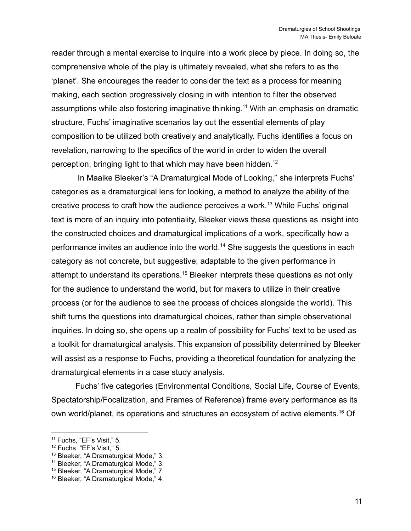reader through a mental exercise to inquire into a work piece by piece. In doing so, the comprehensive whole of the play is ultimately revealed, what she refers to as the 'planet'. She encourages the reader to consider the text as a process for meaning making, each section progressively closing in with intention to filter the observed assumptions while also fostering imaginative thinking.<sup>11</sup> With an emphasis on dramatic structure, Fuchs' imaginative scenarios lay out the essential elements of play composition to be utilized both creatively and analytically. Fuchs identifies a focus on revelation, narrowing to the specifics of the world in order to widen the overall perception, bringing light to that which may have been hidden.<sup>12</sup>

In Maaike Bleeker's "A Dramaturgical Mode of Looking," she interprets Fuchs' categories as a dramaturgical lens for looking, a method to analyze the ability of the creative process to craft how the audience perceives a work.<sup>13</sup> While Fuchs' original text is more of an inquiry into potentiality, Bleeker views these questions as insight into the constructed choices and dramaturgical implications of a work, specifically how a performance invites an audience into the world.<sup>14</sup> She suggests the questions in each category as not concrete, but suggestive; adaptable to the given performance in attempt to understand its operations.<sup>15</sup> Bleeker interprets these questions as not only for the audience to understand the world, but for makers to utilize in their creative process (or for the audience to see the process of choices alongside the world). This shift turns the questions into dramaturgical choices, rather than simple observational inquiries. In doing so, she opens up a realm of possibility for Fuchs' text to be used as a toolkit for dramaturgical analysis. This expansion of possibility determined by Bleeker will assist as a response to Fuchs, providing a theoretical foundation for analyzing the dramaturgical elements in a case study analysis.

Fuchs' five categories (Environmental Conditions, Social Life, Course of Events, Spectatorship/Focalization, and Frames of Reference) frame every performance as its own world/planet, its operations and structures an ecosystem of active elements.<sup>16</sup> Of

<sup>&</sup>lt;sup>11</sup> Fuchs, "EF's Visit," 5.

<sup>12</sup> Fuchs. "EF's Visit," 5.

<sup>&</sup>lt;sup>13</sup> Bleeker, "A Dramaturgical Mode," 3.

<sup>14</sup> Bleeker, "A Dramaturgical Mode," 3.

<sup>15</sup> Bleeker, "A Dramaturgical Mode," 7.

<sup>&</sup>lt;sup>16</sup> Bleeker, "A Dramaturgical Mode," 4.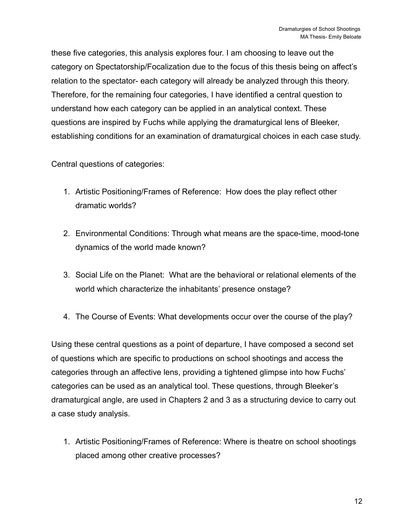these five categories, this analysis explores four. I am choosing to leave out the category on Spectatorship/Focalization due to the focus of this thesis being on affect's relation to the spectator- each category will already be analyzed through this theory. Therefore, for the remaining four categories, I have identified a central question to understand how each category can be applied in an analytical context. These questions are inspired by Fuchs while applying the dramaturgical lens of Bleeker, establishing conditions for an examination of dramaturgical choices in each case study.

Central questions of categories:

- 1. Artistic Positioning/Frames of Reference: How does the play reflect other dramatic worlds?
- 2. Environmental Conditions: Through what means are the space-time, mood-tone dynamics of the world made known?
- 3. Social Life on the Planet: What are the behavioral or relational elements of the world which characterize the inhabitants' presence onstage?
- 4. The Course of Events: What developments occur over the course of the play?

Using these central questions as a point of departure, I have composed a second set of questions which are specific to productions on school shootings and access the categories through an affective lens, providing a tightened glimpse into how Fuchs' categories can be used as an analytical tool. These questions, through Bleeker's dramaturgical angle, are used in Chapters 2 and 3 as a structuring device to carry out a case study analysis.

1. Artistic Positioning/Frames of Reference: Where is theatre on school shootings placed among other creative processes?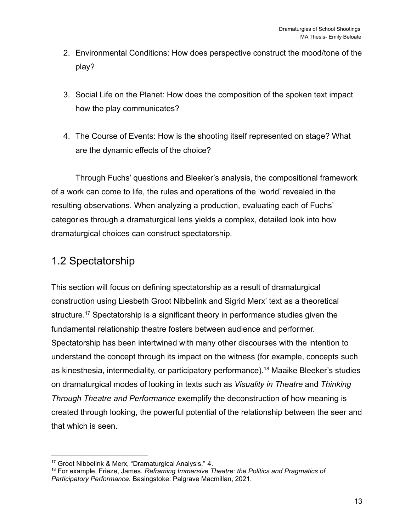- 2. Environmental Conditions: How does perspective construct the mood/tone of the play?
- 3. Social Life on the Planet: How does the composition of the spoken text impact how the play communicates?
- 4. The Course of Events: How is the shooting itself represented on stage? What are the dynamic effects of the choice?

Through Fuchs' questions and Bleeker's analysis, the compositional framework of a work can come to life, the rules and operations of the 'world' revealed in the resulting observations. When analyzing a production, evaluating each of Fuchs' categories through a dramaturgical lens yields a complex, detailed look into how dramaturgical choices can construct spectatorship.

### <span id="page-13-0"></span>1.2 Spectatorship

This section will focus on defining spectatorship as a result of dramaturgical construction using Liesbeth Groot Nibbelink and Sigrid Merx' text as a theoretical structure.<sup>17</sup> Spectatorship is a significant theory in performance studies given the fundamental relationship theatre fosters between audience and performer. Spectatorship has been intertwined with many other discourses with the intention to understand the concept through its impact on the witness (for example, concepts such as kinesthesia, intermediality, or participatory performance).<sup>18</sup> Maaike Bleeker's studies on dramaturgical modes of looking in texts such as *Visuality in Theatre* and *Thinking Through Theatre and Performance* exemplify the deconstruction of how meaning is created through looking, the powerful potential of the relationship between the seer and that which is seen.

<sup>17</sup> Groot Nibbelink & Merx, "Dramaturgical Analysis," 4.

<sup>18</sup> For example, Frieze, James. *Reframing Immersive Theatre: the Politics and Pragmatics of Participatory Performance*. Basingstoke: Palgrave Macmillan, 2021.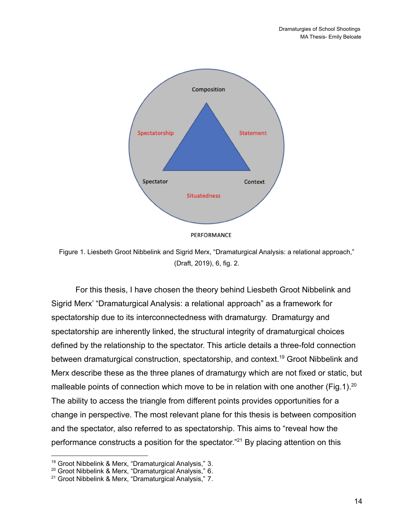

PERFORMANCE

Figure 1. Liesbeth Groot Nibbelink and Sigrid Merx, "Dramaturgical Analysis: a relational approach," (Draft, 2019), 6, fig. 2.

For this thesis, I have chosen the theory behind Liesbeth Groot Nibbelink and Sigrid Merx' "Dramaturgical Analysis: a relational approach" as a framework for spectatorship due to its interconnectedness with dramaturgy. Dramaturgy and spectatorship are inherently linked, the structural integrity of dramaturgical choices defined by the relationship to the spectator. This article details a three-fold connection between dramaturgical construction, spectatorship, and context.<sup>19</sup> Groot Nibbelink and Merx describe these as the three planes of dramaturgy which are not fixed or static, but malleable points of connection which move to be in relation with one another (Fig.1).<sup>20</sup> The ability to access the triangle from different points provides opportunities for a change in perspective. The most relevant plane for this thesis is between composition and the spectator, also referred to as spectatorship. This aims to "reveal how the performance constructs a position for the spectator.<sup>"21</sup> By placing attention on this

<sup>&</sup>lt;sup>19</sup> Groot Nibbelink & Merx, "Dramaturgical Analysis," 3.

<sup>&</sup>lt;sup>20</sup> Groot Nibbelink & Merx, "Dramaturgical Analysis," 6.

<sup>&</sup>lt;sup>21</sup> Groot Nibbelink & Merx, "Dramaturgical Analysis," 7.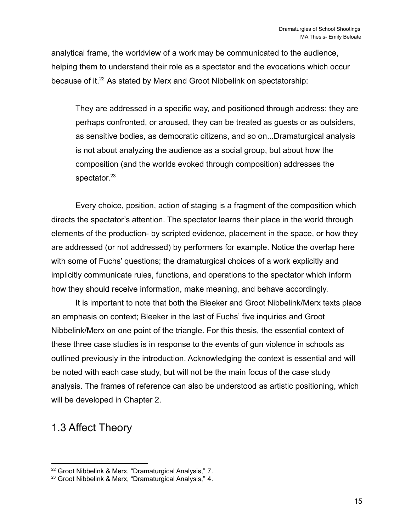analytical frame, the worldview of a work may be communicated to the audience, helping them to understand their role as a spectator and the evocations which occur because of it.<sup>22</sup> As stated by Merx and Groot Nibbelink on spectatorship:

They are addressed in a specific way, and positioned through address: they are perhaps confronted, or aroused, they can be treated as guests or as outsiders, as sensitive bodies, as democratic citizens, and so on...Dramaturgical analysis is not about analyzing the audience as a social group, but about how the composition (and the worlds evoked through composition) addresses the spectator.<sup>23</sup>

Every choice, position, action of staging is a fragment of the composition which directs the spectator's attention. The spectator learns their place in the world through elements of the production- by scripted evidence, placement in the space, or how they are addressed (or not addressed) by performers for example. Notice the overlap here with some of Fuchs' questions; the dramaturgical choices of a work explicitly and implicitly communicate rules, functions, and operations to the spectator which inform how they should receive information, make meaning, and behave accordingly.

It is important to note that both the Bleeker and Groot Nibbelink/Merx texts place an emphasis on context; Bleeker in the last of Fuchs' five inquiries and Groot Nibbelink/Merx on one point of the triangle. For this thesis, the essential context of these three case studies is in response to the events of gun violence in schools as outlined previously in the introduction. Acknowledging the context is essential and will be noted with each case study, but will not be the main focus of the case study analysis. The frames of reference can also be understood as artistic positioning, which will be developed in Chapter 2.

### <span id="page-15-0"></span>1.3 Affect Theory

<sup>&</sup>lt;sup>22</sup> Groot Nibbelink & Merx, "Dramaturgical Analysis," 7.

<sup>&</sup>lt;sup>23</sup> Groot Nibbelink & Merx, "Dramaturgical Analysis," 4.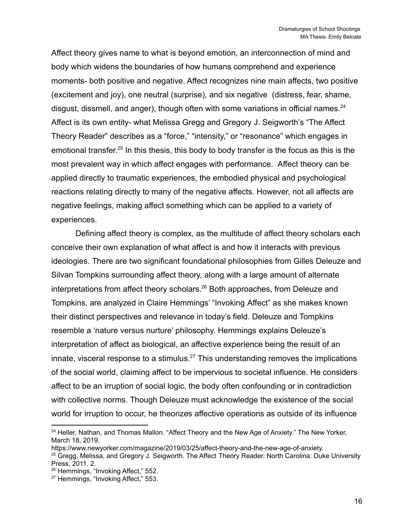Affect theory gives name to what is beyond emotion, an interconnection of mind and body which widens the boundaries of how humans comprehend and experience moments- both positive and negative. Affect recognizes nine main affects, two positive (excitement and joy), one neutral (surprise), and six negative (distress, fear, shame, disgust, dissmell, and anger), though often with some variations in official names.  $24$ Affect is its own entity- what Melissa Gregg and Gregory J. Seigworth's "The Affect Theory Reader" describes as a "force," "intensity," or "resonance" which engages in emotional transfer.<sup>25</sup> In this thesis, this body to body transfer is the focus as this is the most prevalent way in which affect engages with performance. Affect theory can be applied directly to traumatic experiences, the embodied physical and psychological reactions relating directly to many of the negative affects. However, not all affects are negative feelings, making affect something which can be applied to a variety of experiences.

Defining affect theory is complex, as the multitude of affect theory scholars each conceive their own explanation of what affect is and how it interacts with previous ideologies. There are two significant foundational philosophies from Gilles Deleuze and Silvan Tompkins surrounding affect theory, along with a large amount of alternate interpretations from affect theory scholars.<sup>26</sup> Both approaches, from Deleuze and Tompkins, are analyzed in Claire Hemmings' "Invoking Affect" as she makes known their distinct perspectives and relevance in today's field. Deleuze and Tompkins resemble a 'nature versus nurture' philosophy. Hemmings explains Deleuze's interpretation of affect as biological, an affective experience being the result of an innate, visceral response to a stimulus.<sup>27</sup> This understanding removes the implications of the social world, claiming affect to be impervious to societal influence. He considers affect to be an irruption of social logic, the body often confounding or in contradiction with collective norms. Though Deleuze must acknowledge the existence of the social world for irruption to occur, he theorizes affective operations as outside of its influence

<sup>&</sup>lt;sup>24</sup> Heller, Nathan, and Thomas Mallon. "Affect Theory and the New Age of Anxiety." The New Yorker, March 18, 2019.

https://www.newyorker.com/magazine/2019/03/25/affect-theory-and-the-new-age-of-anxiety.

<sup>&</sup>lt;sup>25</sup> Gregg, Melissa, and Gregory J. Seigworth. The Affect Theory Reader. North Carolina: Duke University Press, 2011. 2.

<sup>&</sup>lt;sup>26</sup> Hemmings, "Invoking Affect," 552.

<sup>&</sup>lt;sup>27</sup> Hemmings, "Invoking Affect," 553.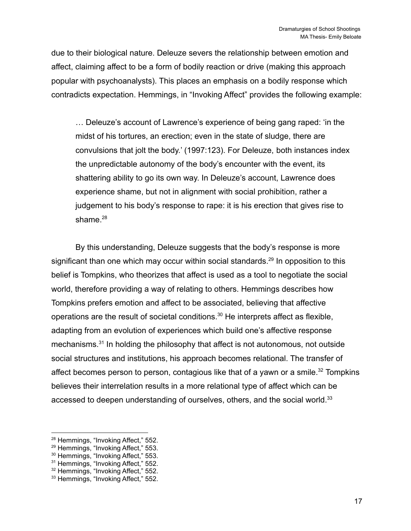due to their biological nature. Deleuze severs the relationship between emotion and affect, claiming affect to be a form of bodily reaction or drive (making this approach popular with psychoanalysts). This places an emphasis on a bodily response which contradicts expectation. Hemmings, in "Invoking Affect" provides the following example:

… Deleuze's account of Lawrence's experience of being gang raped: 'in the midst of his tortures, an erection; even in the state of sludge, there are convulsions that jolt the body.' (1997:123). For Deleuze, both instances index the unpredictable autonomy of the body's encounter with the event, its shattering ability to go its own way. In Deleuze's account, Lawrence does experience shame, but not in alignment with social prohibition, rather a judgement to his body's response to rape: it is his erection that gives rise to shame. $28$ 

By this understanding, Deleuze suggests that the body's response is more significant than one which may occur within social standards.<sup>29</sup> In opposition to this belief is Tompkins, who theorizes that affect is used as a tool to negotiate the social world, therefore providing a way of relating to others. Hemmings describes how Tompkins prefers emotion and affect to be associated, believing that affective operations are the result of societal conditions.<sup>30</sup> He interprets affect as flexible, adapting from an evolution of experiences which build one's affective response mechanisms.<sup>31</sup> In holding the philosophy that affect is not autonomous, not outside social structures and institutions, his approach becomes relational. The transfer of affect becomes person to person, contagious like that of a yawn or a smile.<sup>32</sup> Tompkins believes their interrelation results in a more relational type of affect which can be accessed to deepen understanding of ourselves, others, and the social world.<sup>33</sup>

<sup>&</sup>lt;sup>28</sup> Hemmings, "Invoking Affect," 552.

<sup>29</sup> Hemmings, "Invoking Affect," 553.

<sup>30</sup> Hemmings, "Invoking Affect," 553.

<sup>&</sup>lt;sup>31</sup> Hemmings, "Invoking Affect," 552.

<sup>&</sup>lt;sup>32</sup> Hemmings, "Invoking Affect," 552.

<sup>&</sup>lt;sup>33</sup> Hemmings, "Invoking Affect," 552.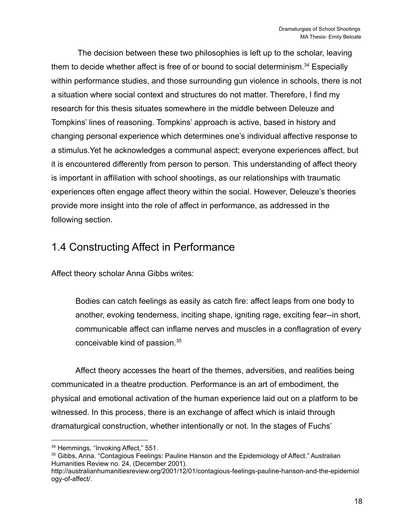The decision between these two philosophies is left up to the scholar, leaving them to decide whether affect is free of or bound to social determinism.<sup>34</sup> Especially within performance studies, and those surrounding gun violence in schools, there is not a situation where social context and structures do not matter. Therefore, I find my research for this thesis situates somewhere in the middle between Deleuze and Tompkins' lines of reasoning. Tompkins' approach is active, based in history and changing personal experience which determines one's individual affective response to a stimulus.Yet he acknowledges a communal aspect; everyone experiences affect, but it is encountered differently from person to person. This understanding of affect theory is important in affiliation with school shootings, as our relationships with traumatic experiences often engage affect theory within the social. However, Deleuze's theories provide more insight into the role of affect in performance, as addressed in the following section.

### <span id="page-18-0"></span>1.4 Constructing Affect in Performance

Affect theory scholar Anna Gibbs writes:

Bodies can catch feelings as easily as catch fire: affect leaps from one body to another, evoking tenderness, inciting shape, igniting rage, exciting fear--in short, communicable affect can inflame nerves and muscles in a conflagration of every conceivable kind of passion.<sup>35</sup>

Affect theory accesses the heart of the themes, adversities, and realities being communicated in a theatre production. Performance is an art of embodiment, the physical and emotional activation of the human experience laid out on a platform to be witnessed. In this process, there is an exchange of affect which is inlaid through dramaturgical construction, whether intentionally or not. In the stages of Fuchs'

<sup>&</sup>lt;sup>34</sup> Hemmings, "Invoking Affect," 551.

<sup>35</sup> Gibbs, Anna. "Contagious Feelings: Pauline Hanson and the Epidemiology of Affect." Australian Humanities Review no. 24, (December 2001).

http://australianhumanitiesreview.org/2001/12/01/contagious-feelings-pauline-hanson-and-the-epidemiol ogy-of-affect/.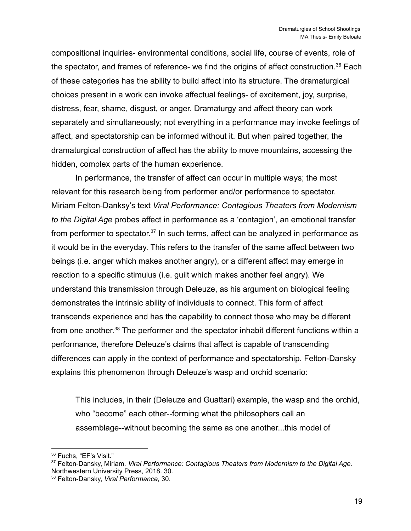compositional inquiries- environmental conditions, social life, course of events, role of the spectator, and frames of reference- we find the origins of affect construction.<sup>36</sup> Each of these categories has the ability to build affect into its structure. The dramaturgical choices present in a work can invoke affectual feelings- of excitement, joy, surprise, distress, fear, shame, disgust, or anger. Dramaturgy and affect theory can work separately and simultaneously; not everything in a performance may invoke feelings of affect, and spectatorship can be informed without it. But when paired together, the dramaturgical construction of affect has the ability to move mountains, accessing the hidden, complex parts of the human experience.

In performance, the transfer of affect can occur in multiple ways; the most relevant for this research being from performer and/or performance to spectator. Miriam Felton-Danksy's text *Viral Performance: Contagious Theaters from Modernism to the Digital Age* probes affect in performance as a 'contagion', an emotional transfer from performer to spectator.<sup>37</sup> In such terms, affect can be analyzed in performance as it would be in the everyday. This refers to the transfer of the same affect between two beings (i.e. anger which makes another angry), or a different affect may emerge in reaction to a specific stimulus (i.e. guilt which makes another feel angry). We understand this transmission through Deleuze, as his argument on biological feeling demonstrates the intrinsic ability of individuals to connect. This form of affect transcends experience and has the capability to connect those who may be different from one another.<sup>38</sup> The performer and the spectator inhabit different functions within a performance, therefore Deleuze's claims that affect is capable of transcending differences can apply in the context of performance and spectatorship. Felton-Dansky explains this phenomenon through Deleuze's wasp and orchid scenario:

This includes, in their (Deleuze and Guattari) example, the wasp and the orchid, who "become" each other--forming what the philosophers call an assemblage--without becoming the same as one another...this model of

<sup>36</sup> Fuchs, "EF's Visit."

<sup>37</sup> Felton-Dansky, Miriam. *Viral Performance: Contagious Theaters from Modernism to the Digital Age.* Northwestern University Press, 2018. 30.

<sup>38</sup> Felton-Dansky, *Viral Performance*, 30.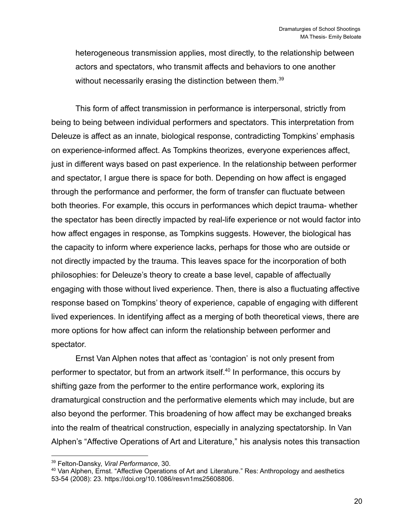heterogeneous transmission applies, most directly, to the relationship between actors and spectators, who transmit affects and behaviors to one another without necessarily erasing the distinction between them.<sup>39</sup>

This form of affect transmission in performance is interpersonal, strictly from being to being between individual performers and spectators. This interpretation from Deleuze is affect as an innate, biological response, contradicting Tompkins' emphasis on experience-informed affect. As Tompkins theorizes, everyone experiences affect, just in different ways based on past experience. In the relationship between performer and spectator, I argue there is space for both. Depending on how affect is engaged through the performance and performer, the form of transfer can fluctuate between both theories. For example, this occurs in performances which depict trauma- whether the spectator has been directly impacted by real-life experience or not would factor into how affect engages in response, as Tompkins suggests. However, the biological has the capacity to inform where experience lacks, perhaps for those who are outside or not directly impacted by the trauma. This leaves space for the incorporation of both philosophies: for Deleuze's theory to create a base level, capable of affectually engaging with those without lived experience. Then, there is also a fluctuating affective response based on Tompkins' theory of experience, capable of engaging with different lived experiences. In identifying affect as a merging of both theoretical views, there are more options for how affect can inform the relationship between performer and spectator.

Ernst Van Alphen notes that affect as 'contagion' is not only present from performer to spectator, but from an artwork itself.<sup>40</sup> In performance, this occurs by shifting gaze from the performer to the entire performance work, exploring its dramaturgical construction and the performative elements which may include, but are also beyond the performer. This broadening of how affect may be exchanged breaks into the realm of theatrical construction, especially in analyzing spectatorship. In Van Alphen's "Affective Operations of Art and Literature," his analysis notes this transaction

<sup>39</sup> Felton-Dansky, *Viral Performance*, 30.

<sup>40</sup> Van Alphen, Ernst. "Affective Operations of Art and Literature." Res: Anthropology and aesthetics 53-54 (2008): 23. https://doi.org/10.1086/resvn1ms25608806.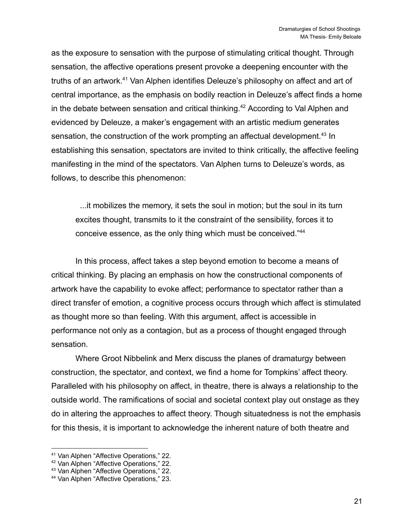as the exposure to sensation with the purpose of stimulating critical thought. Through sensation, the affective operations present provoke a deepening encounter with the truths of an artwork.<sup>41</sup> Van Alphen identifies Deleuze's philosophy on affect and art of central importance, as the emphasis on bodily reaction in Deleuze's affect finds a home in the debate between sensation and critical thinking.<sup>42</sup> According to Val Alphen and evidenced by Deleuze, a maker's engagement with an artistic medium generates sensation, the construction of the work prompting an affectual development.<sup>43</sup> In establishing this sensation, spectators are invited to think critically, the affective feeling manifesting in the mind of the spectators. Van Alphen turns to Deleuze's words, as follows, to describe this phenomenon:

...it mobilizes the memory, it sets the soul in motion; but the soul in its turn excites thought, transmits to it the constraint of the sensibility, forces it to conceive essence, as the only thing which must be conceived."<sup>44</sup>

In this process, affect takes a step beyond emotion to become a means of critical thinking. By placing an emphasis on how the constructional components of artwork have the capability to evoke affect; performance to spectator rather than a direct transfer of emotion, a cognitive process occurs through which affect is stimulated as thought more so than feeling. With this argument, affect is accessible in performance not only as a contagion, but as a process of thought engaged through sensation.

Where Groot Nibbelink and Merx discuss the planes of dramaturgy between construction, the spectator, and context, we find a home for Tompkins' affect theory. Paralleled with his philosophy on affect, in theatre, there is always a relationship to the outside world. The ramifications of social and societal context play out onstage as they do in altering the approaches to affect theory. Though situatedness is not the emphasis for this thesis, it is important to acknowledge the inherent nature of both theatre and

<sup>41</sup> Van Alphen "Affective Operations," 22.

<sup>42</sup> Van Alphen "Affective Operations," 22.

<sup>43</sup> Van Alphen "Affective Operations," 22.

<sup>44</sup> Van Alphen "Affective Operations," 23.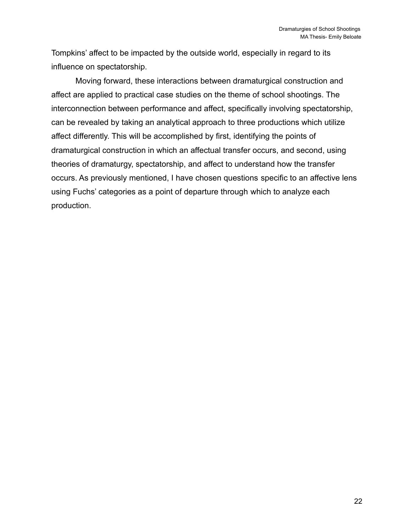Tompkins' affect to be impacted by the outside world, especially in regard to its influence on spectatorship.

Moving forward, these interactions between dramaturgical construction and affect are applied to practical case studies on the theme of school shootings. The interconnection between performance and affect, specifically involving spectatorship, can be revealed by taking an analytical approach to three productions which utilize affect differently. This will be accomplished by first, identifying the points of dramaturgical construction in which an affectual transfer occurs, and second, using theories of dramaturgy, spectatorship, and affect to understand how the transfer occurs. As previously mentioned, I have chosen questions specific to an affective lens using Fuchs' categories as a point of departure through which to analyze each production.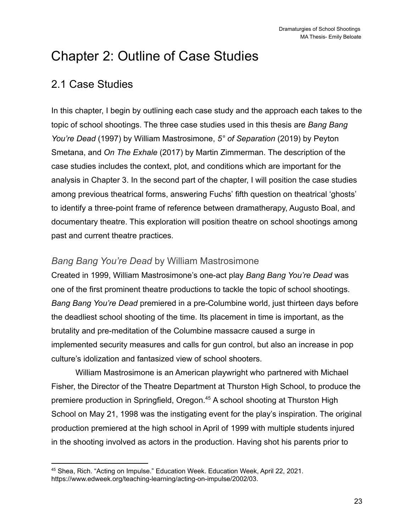# <span id="page-23-0"></span>Chapter 2: Outline of Case Studies

## <span id="page-23-1"></span>2.1 Case Studies

In this chapter, I begin by outlining each case study and the approach each takes to the topic of school shootings. The three case studies used in this thesis are *Bang Bang You're Dead* (1997) by William Mastrosimone, *5° of Separation* (2019) by Peyton Smetana, and *On The Exhale* (2017) by Martin Zimmerman. The description of the case studies includes the context, plot, and conditions which are important for the analysis in Chapter 3. In the second part of the chapter, I will position the case studies among previous theatrical forms, answering Fuchs' fifth question on theatrical 'ghosts' to identify a three-point frame of reference between dramatherapy, Augusto Boal, and documentary theatre. This exploration will position theatre on school shootings among past and current theatre practices.

### <span id="page-23-2"></span>*Bang Bang You're Dead* by William Mastrosimone

Created in 1999, William Mastrosimone's one-act play *Bang Bang You're Dead* was one of the first prominent theatre productions to tackle the topic of school shootings. *Bang Bang You're Dead* premiered in a pre-Columbine world, just thirteen days before the deadliest school shooting of the time. Its placement in time is important, as the brutality and pre-meditation of the Columbine massacre caused a surge in implemented security measures and calls for gun control, but also an increase in pop culture's idolization and fantasized view of school shooters.

William Mastrosimone is an American playwright who partnered with Michael Fisher, the Director of the Theatre Department at Thurston High School, to produce the premiere production in Springfield, Oregon.<sup>45</sup> A school shooting at Thurston High School on May 21, 1998 was the instigating event for the play's inspiration. The original production premiered at the high school in April of 1999 with multiple students injured in the shooting involved as actors in the production. Having shot his parents prior to

<sup>45</sup> Shea, Rich. "Acting on Impulse." Education Week. Education Week, April 22, 2021. https://www.edweek.org/teaching-learning/acting-on-impulse/2002/03.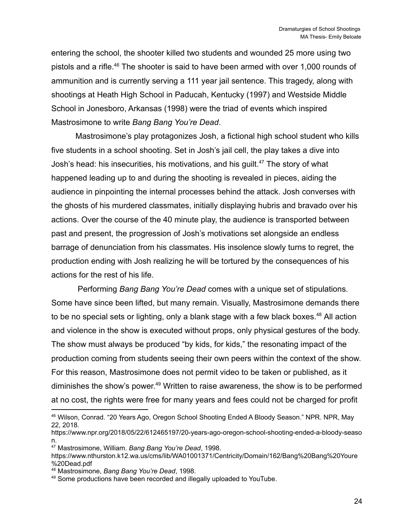entering the school, the shooter killed two students and wounded 25 more using two pistols and a rifle.<sup>46</sup> The shooter is said to have been armed with over 1,000 rounds of ammunition and is currently serving a 111 year jail sentence. This tragedy, along with shootings at Heath High School in Paducah, Kentucky (1997) and Westside Middle School in Jonesboro, Arkansas (1998) were the triad of events which inspired Mastrosimone to write *Bang Bang You're Dead*.

Mastrosimone's play protagonizes Josh, a fictional high school student who kills five students in a school shooting. Set in Josh's jail cell, the play takes a dive into Josh's head: his insecurities, his motivations, and his guilt.<sup>47</sup> The story of what happened leading up to and during the shooting is revealed in pieces, aiding the audience in pinpointing the internal processes behind the attack. Josh converses with the ghosts of his murdered classmates, initially displaying hubris and bravado over his actions. Over the course of the 40 minute play, the audience is transported between past and present, the progression of Josh's motivations set alongside an endless barrage of denunciation from his classmates. His insolence slowly turns to regret, the production ending with Josh realizing he will be tortured by the consequences of his actions for the rest of his life.

Performing *Bang Bang You're Dead* comes with a unique set of stipulations. Some have since been lifted, but many remain. Visually, Mastrosimone demands there to be no special sets or lighting, only a blank stage with a few black boxes.<sup>48</sup> All action and violence in the show is executed without props, only physical gestures of the body. The show must always be produced "by kids, for kids," the resonating impact of the production coming from students seeing their own peers within the context of the show. For this reason, Mastrosimone does not permit video to be taken or published, as it diminishes the show's power. <sup>49</sup> Written to raise awareness, the show is to be performed at no cost, the rights were free for many years and fees could not be charged for profit

<sup>46</sup> Wilson, Conrad. "20 Years Ago, Oregon School Shooting Ended A Bloody Season." NPR. NPR, May 22, 2018.

https://www.npr.org/2018/05/22/612465197/20-years-ago-oregon-school-shooting-ended-a-bloody-seaso n.

<sup>47</sup> Mastrosimone, William. *Bang Bang You're Dead*, 1998.

https://www.nthurston.k12.wa.us/cms/lib/WA01001371/Centricity/Domain/162/Bang%20Bang%20Youre %20Dead.pdf

<sup>48</sup> Mastrosimone, *Bang Bang You're Dead*, 1998.

<sup>49</sup> Some productions have been recorded and illegally uploaded to YouTube.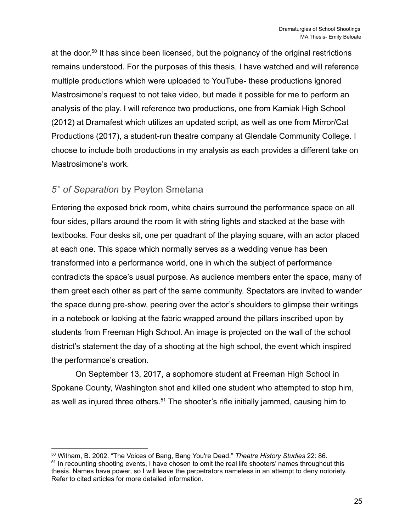at the door.<sup>50</sup> It has since been licensed, but the poignancy of the original restrictions remains understood. For the purposes of this thesis, I have watched and will reference multiple productions which were uploaded to YouTube- these productions ignored Mastrosimone's request to not take video, but made it possible for me to perform an analysis of the play. I will reference two productions, one from Kamiak High School (2012) at Dramafest which utilizes an updated script, as well as one from Mirror/Cat Productions (2017), a student-run theatre company at Glendale Community College. I choose to include both productions in my analysis as each provides a different take on Mastrosimone's work.

### <span id="page-25-0"></span>*5° of Separation* by Peyton Smetana

Entering the exposed brick room, white chairs surround the performance space on all four sides, pillars around the room lit with string lights and stacked at the base with textbooks. Four desks sit, one per quadrant of the playing square, with an actor placed at each one. This space which normally serves as a wedding venue has been transformed into a performance world, one in which the subject of performance contradicts the space's usual purpose. As audience members enter the space, many of them greet each other as part of the same community. Spectators are invited to wander the space during pre-show, peering over the actor's shoulders to glimpse their writings in a notebook or looking at the fabric wrapped around the pillars inscribed upon by students from Freeman High School. An image is projected on the wall of the school district's statement the day of a shooting at the high school, the event which inspired the performance's creation.

On September 13, 2017, a sophomore student at Freeman High School in Spokane County, Washington shot and killed one student who attempted to stop him, as well as injured three others.<sup>51</sup> The shooter's rifle initially jammed, causing him to

<sup>50</sup> Witham, B. 2002. "The Voices of Bang, Bang You're Dead." *Theatre History Studies* 22: 86.

<sup>&</sup>lt;sup>51</sup> In recounting shooting events, I have chosen to omit the real life shooters' names throughout this thesis. Names have power, so I will leave the perpetrators nameless in an attempt to deny notoriety. Refer to cited articles for more detailed information.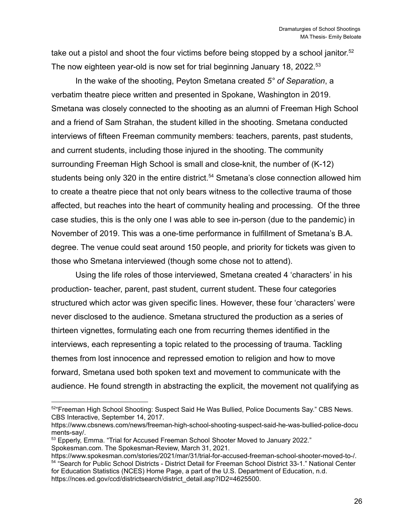take out a pistol and shoot the four victims before being stopped by a school janitor.<sup>52</sup> The now eighteen year-old is now set for trial beginning January 18, 2022.<sup>53</sup>

In the wake of the shooting, Peyton Smetana created *5° of Separation*, a verbatim theatre piece written and presented in Spokane, Washington in 2019. Smetana was closely connected to the shooting as an alumni of Freeman High School and a friend of Sam Strahan, the student killed in the shooting. Smetana conducted interviews of fifteen Freeman community members: teachers, parents, past students, and current students, including those injured in the shooting. The community surrounding Freeman High School is small and close-knit, the number of (K-12) students being only 320 in the entire district.<sup>54</sup> Smetana's close connection allowed him to create a theatre piece that not only bears witness to the collective trauma of those affected, but reaches into the heart of community healing and processing. Of the three case studies, this is the only one I was able to see in-person (due to the pandemic) in November of 2019. This was a one-time performance in fulfillment of Smetana's B.A. degree. The venue could seat around 150 people, and priority for tickets was given to those who Smetana interviewed (though some chose not to attend).

Using the life roles of those interviewed, Smetana created 4 'characters' in his production- teacher, parent, past student, current student. These four categories structured which actor was given specific lines. However, these four 'characters' were never disclosed to the audience. Smetana structured the production as a series of thirteen vignettes, formulating each one from recurring themes identified in the interviews, each representing a topic related to the processing of trauma. Tackling themes from lost innocence and repressed emotion to religion and how to move forward, Smetana used both spoken text and movement to communicate with the audience. He found strength in abstracting the explicit, the movement not qualifying as

<sup>52</sup> "Freeman High School Shooting: Suspect Said He Was Bullied, Police Documents Say." CBS News. CBS Interactive, September 14, 2017.

https://www.cbsnews.com/news/freeman-high-school-shooting-suspect-said-he-was-bullied-police-docu ments-say/.

<sup>53</sup> Epperly, Emma. "Trial for Accused Freeman School Shooter Moved to January 2022." Spokesman.com. The Spokesman-Review, March 31, 2021.

<sup>54</sup> "Search for Public School Districts - District Detail for Freeman School District 33-1." National Center for Education Statistics (NCES) Home Page, a part of the U.S. Department of Education, n.d. https://nces.ed.gov/ccd/districtsearch/district\_detail.asp?ID2=4625500. https://www.spokesman.com/stories/2021/mar/31/trial-for-accused-freeman-school-shooter-moved-to-/.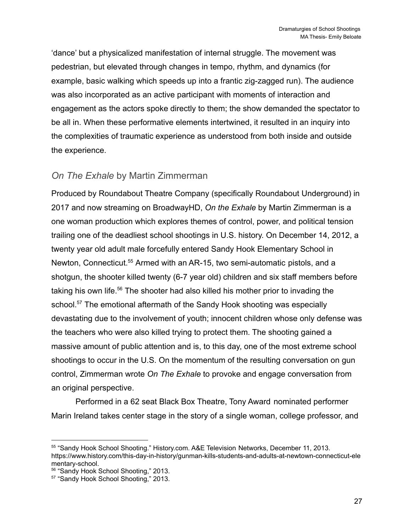'dance' but a physicalized manifestation of internal struggle. The movement was pedestrian, but elevated through changes in tempo, rhythm, and dynamics (for example, basic walking which speeds up into a frantic zig-zagged run). The audience was also incorporated as an active participant with moments of interaction and engagement as the actors spoke directly to them; the show demanded the spectator to be all in. When these performative elements intertwined, it resulted in an inquiry into the complexities of traumatic experience as understood from both inside and outside the experience.

#### <span id="page-27-0"></span>*On The Exhale* by Martin Zimmerman

Produced by Roundabout Theatre Company (specifically Roundabout Underground) in 2017 and now streaming on BroadwayHD, *On the Exhale* by Martin Zimmerman is a one woman production which explores themes of control, power, and political tension trailing one of the deadliest school shootings in U.S. history. On December 14, 2012, a twenty year old adult male forcefully entered Sandy Hook Elementary School in Newton, Connecticut.<sup>55</sup> Armed with an AR-15, two semi-automatic pistols, and a shotgun, the shooter killed twenty (6-7 year old) children and six staff members before taking his own life.<sup>56</sup> The shooter had also killed his mother prior to invading the school.<sup>57</sup> The emotional aftermath of the Sandy Hook shooting was especially devastating due to the involvement of youth; innocent children whose only defense was the teachers who were also killed trying to protect them. The shooting gained a massive amount of public attention and is, to this day, one of the most extreme school shootings to occur in the U.S. On the momentum of the resulting conversation on gun control, Zimmerman wrote *On The Exhale* to provoke and engage conversation from an original perspective.

Performed in a 62 seat Black Box Theatre, Tony Award nominated performer Marin Ireland takes center stage in the story of a single woman, college professor, and

<sup>55</sup> "Sandy Hook School Shooting." History.com. A&E Television Networks, December 11, 2013. https://www.history.com/this-day-in-history/gunman-kills-students-and-adults-at-newtown-connecticut-ele mentary-school.

<sup>56</sup> "Sandy Hook School Shooting," 2013.

<sup>&</sup>lt;sup>57</sup> "Sandy Hook School Shooting," 2013.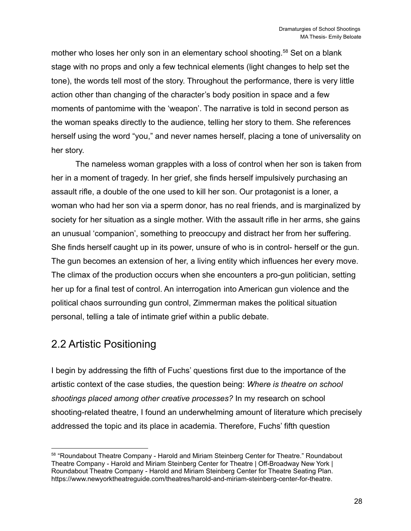mother who loses her only son in an elementary school shooting.<sup>58</sup> Set on a blank stage with no props and only a few technical elements (light changes to help set the tone), the words tell most of the story. Throughout the performance, there is very little action other than changing of the character's body position in space and a few moments of pantomime with the 'weapon'. The narrative is told in second person as the woman speaks directly to the audience, telling her story to them. She references herself using the word "you," and never names herself, placing a tone of universality on her story.

The nameless woman grapples with a loss of control when her son is taken from her in a moment of tragedy. In her grief, she finds herself impulsively purchasing an assault rifle, a double of the one used to kill her son. Our protagonist is a loner, a woman who had her son via a sperm donor, has no real friends, and is marginalized by society for her situation as a single mother. With the assault rifle in her arms, she gains an unusual 'companion', something to preoccupy and distract her from her suffering. She finds herself caught up in its power, unsure of who is in control- herself or the gun. The gun becomes an extension of her, a living entity which influences her every move. The climax of the production occurs when she encounters a pro-gun politician, setting her up for a final test of control. An interrogation into American gun violence and the political chaos surrounding gun control, Zimmerman makes the political situation personal, telling a tale of intimate grief within a public debate.

## <span id="page-28-0"></span>2.2 Artistic Positioning

I begin by addressing the fifth of Fuchs' questions first due to the importance of the artistic context of the case studies, the question being: *Where is theatre on school shootings placed among other creative processes?* In my research on school shooting-related theatre, I found an underwhelming amount of literature which precisely addressed the topic and its place in academia. Therefore, Fuchs' fifth question

<sup>58 &</sup>quot;Roundabout Theatre Company - Harold and Miriam Steinberg Center for Theatre." Roundabout Theatre Company - Harold and Miriam Steinberg Center for Theatre | Off-Broadway New York | Roundabout Theatre Company - Harold and Miriam Steinberg Center for Theatre Seating Plan. https://www.newyorktheatreguide.com/theatres/harold-and-miriam-steinberg-center-for-theatre.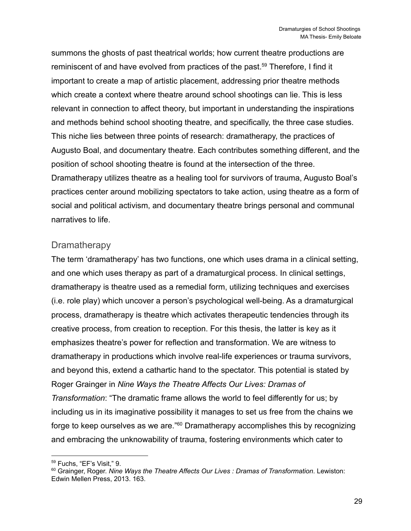summons the ghosts of past theatrical worlds; how current theatre productions are reminiscent of and have evolved from practices of the past.<sup>59</sup> Therefore, I find it important to create a map of artistic placement, addressing prior theatre methods which create a context where theatre around school shootings can lie. This is less relevant in connection to affect theory, but important in understanding the inspirations and methods behind school shooting theatre, and specifically, the three case studies. This niche lies between three points of research: dramatherapy, the practices of Augusto Boal, and documentary theatre. Each contributes something different, and the position of school shooting theatre is found at the intersection of the three. Dramatherapy utilizes theatre as a healing tool for survivors of trauma, Augusto Boal's practices center around mobilizing spectators to take action, using theatre as a form of social and political activism, and documentary theatre brings personal and communal narratives to life.

#### <span id="page-29-0"></span>**Dramatherapy**

The term 'dramatherapy' has two functions, one which uses drama in a clinical setting, and one which uses therapy as part of a dramaturgical process. In clinical settings, dramatherapy is theatre used as a remedial form, utilizing techniques and exercises (i.e. role play) which uncover a person's psychological well-being. As a dramaturgical process, dramatherapy is theatre which activates therapeutic tendencies through its creative process, from creation to reception. For this thesis, the latter is key as it emphasizes theatre's power for reflection and transformation. We are witness to dramatherapy in productions which involve real-life experiences or trauma survivors, and beyond this, extend a cathartic hand to the spectator. This potential is stated by Roger Grainger in *Nine Ways the Theatre Affects Our Lives: Dramas of Transformation*: "The dramatic frame allows the world to feel differently for us; by including us in its imaginative possibility it manages to set us free from the chains we forge to keep ourselves as we are."<sup>60</sup> Dramatherapy accomplishes this by recognizing and embracing the unknowability of trauma, fostering environments which cater to

<sup>59</sup> Fuchs, "EF's Visit," 9.

<sup>60</sup> Grainger, Roger. *Nine Ways the Theatre Affects Our Lives : Dramas of Transformation*. Lewiston: Edwin Mellen Press, 2013. 163.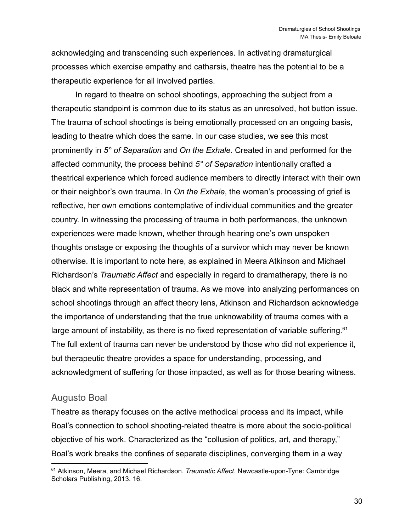acknowledging and transcending such experiences. In activating dramaturgical processes which exercise empathy and catharsis, theatre has the potential to be a therapeutic experience for all involved parties.

In regard to theatre on school shootings, approaching the subject from a therapeutic standpoint is common due to its status as an unresolved, hot button issue. The trauma of school shootings is being emotionally processed on an ongoing basis, leading to theatre which does the same. In our case studies, we see this most prominently in *5° of Separation* and *On the Exhale*. Created in and performed for the affected community, the process behind *5° of Separation* intentionally crafted a theatrical experience which forced audience members to directly interact with their own or their neighbor's own trauma. In *On the Exhale*, the woman's processing of grief is reflective, her own emotions contemplative of individual communities and the greater country. In witnessing the processing of trauma in both performances, the unknown experiences were made known, whether through hearing one's own unspoken thoughts onstage or exposing the thoughts of a survivor which may never be known otherwise. It is important to note here, as explained in Meera Atkinson and Michael Richardson's *Traumatic Affect* and especially in regard to dramatherapy, there is no black and white representation of trauma. As we move into analyzing performances on school shootings through an affect theory lens, Atkinson and Richardson acknowledge the importance of understanding that the true unknowability of trauma comes with a large amount of instability, as there is no fixed representation of variable suffering.<sup>61</sup> The full extent of trauma can never be understood by those who did not experience it, but therapeutic theatre provides a space for understanding, processing, and acknowledgment of suffering for those impacted, as well as for those bearing witness.

#### <span id="page-30-0"></span>Augusto Boal

Theatre as therapy focuses on the active methodical process and its impact, while Boal's connection to school shooting-related theatre is more about the socio-political objective of his work. Characterized as the "collusion of politics, art, and therapy," Boal's work breaks the confines of separate disciplines, converging them in a way

<sup>61</sup> Atkinson, Meera, and Michael Richardson. *Traumatic Affect*. Newcastle-upon-Tyne: Cambridge Scholars Publishing, 2013. 16.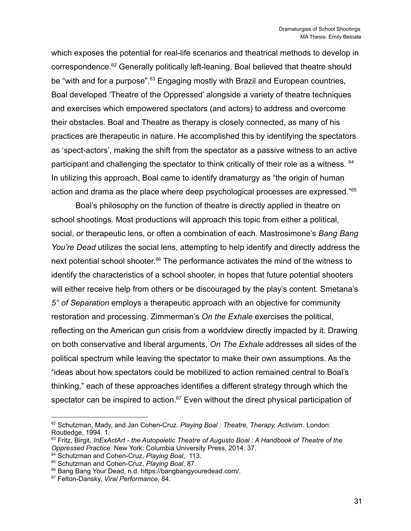which exposes the potential for real-life scenarios and theatrical methods to develop in correspondence.<sup>62</sup> Generally politically left-leaning, Boal believed that theatre should be "with and for a purpose".<sup>63</sup> Engaging mostly with Brazil and European countries, Boal developed 'Theatre of the Oppressed' alongside a variety of theatre techniques and exercises which empowered spectators (and actors) to address and overcome their obstacles. Boal and Theatre as therapy is closely connected, as many of his practices are therapeutic in nature. He accomplished this by identifying the spectators as 'spect-actors', making the shift from the spectator as a passive witness to an active participant and challenging the spectator to think critically of their role as a witness. <sup>64</sup> In utilizing this approach, Boal came to identify dramaturgy as "the origin of human action and drama as the place where deep psychological processes are expressed."<sup>65</sup>

Boal's philosophy on the function of theatre is directly applied in theatre on school shootings. Most productions will approach this topic from either a political, social, or therapeutic lens, or often a combination of each. Mastrosimone's *Bang Bang You're Dead* utilizes the social lens, attempting to help identify and directly address the next potential school shooter.<sup>66</sup> The performance activates the mind of the witness to identify the characteristics of a school shooter, in hopes that future potential shooters will either receive help from others or be discouraged by the play's content. Smetana's *5° of Separation* employs a therapeutic approach with an objective for community restoration and processing. Zimmerman's *On the Exhale* exercises the political, reflecting on the American gun crisis from a worldview directly impacted by it. Drawing on both conservative and liberal arguments, *On The Exhale* addresses all sides of the political spectrum while leaving the spectator to make their own assumptions. As the "ideas about how spectators could be mobilized to action remained central to Boal's thinking," each of these approaches identifies a different strategy through which the spectator can be inspired to action. $67$  Even without the direct physical participation of

<sup>62</sup> Schutzman, Mady, and Jan Cohen-Cruz. *Playing Boal : Theatre, Therapy, Activism*. London: Routledge, 1994. 1.

<sup>63</sup> Fritz, Birgit. *InExActArt - the Autopoietic Theatre of Augusto Boal : A Handbook of Theatre of the Oppressed Practice*. New York: Columbia University Press, 2014. 37.

<sup>64</sup> Schutzman and Cohen-Cruz, *Playing Boal*, 113.

<sup>65</sup> Schutzman and Cohen-Cruz, *Playing Boal*, 87.

<sup>66</sup> Bang Bang Your Dead, n.d. https://bangbangyouredead.com/.

<sup>67</sup> Felton-Dansky, *Viral Performance*, 84.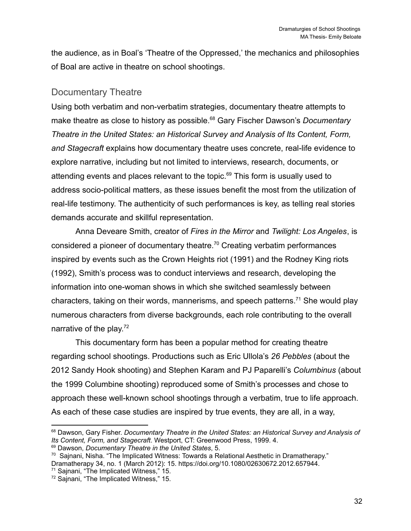the audience, as in Boal's 'Theatre of the Oppressed,' the mechanics and philosophies of Boal are active in theatre on school shootings.

#### <span id="page-32-0"></span>Documentary Theatre

Using both verbatim and non-verbatim strategies, documentary theatre attempts to make theatre as close to history as possible.<sup>68</sup> Gary Fischer Dawson's *Documentary Theatre in the United States: an Historical Survey and Analysis of Its Content, Form, and Stagecraft* explains how documentary theatre uses concrete, real-life evidence to explore narrative, including but not limited to interviews, research, documents, or attending events and places relevant to the topic.<sup>69</sup> This form is usually used to address socio-political matters, as these issues benefit the most from the utilization of real-life testimony. The authenticity of such performances is key, as telling real stories demands accurate and skillful representation.

Anna Deveare Smith, creator of *Fires in the Mirror* and *Twilight: Los Angeles*, is considered a pioneer of documentary theatre.<sup>70</sup> Creating verbatim performances inspired by events such as the Crown Heights riot (1991) and the Rodney King riots (1992), Smith's process was to conduct interviews and research, developing the information into one-woman shows in which she switched seamlessly between characters, taking on their words, mannerisms, and speech patterns.<sup>71</sup> She would play numerous characters from diverse backgrounds, each role contributing to the overall narrative of the play.<sup>72</sup>

This documentary form has been a popular method for creating theatre regarding school shootings. Productions such as Eric Ullola's *26 Pebbles* (about the 2012 Sandy Hook shooting) and Stephen Karam and PJ Paparelli's *Columbinus* (about the 1999 Columbine shooting) reproduced some of Smith's processes and chose to approach these well-known school shootings through a verbatim, true to life approach. As each of these case studies are inspired by true events, they are all, in a way,

<sup>71</sup> Sajnani, "The Implicated Witness," 15.

<sup>68</sup> Dawson, Gary Fisher. *Documentary Theatre in the United States: an Historical Survey and Analysis of Its Content, Form, and Stagecraft*. Westport, CT: Greenwood Press, 1999. 4.

<sup>69</sup> Dawson, *Documentary Theatre in the United States*, 5.

<sup>70</sup> Sajnani, Nisha. "The Implicated Witness: Towards a Relational Aesthetic in Dramatherapy." Dramatherapy 34, no. 1 (March 2012): 15. https://doi.org/10.1080/02630672.2012.657944.

<sup>72</sup> Sajnani, "The Implicated Witness," 15.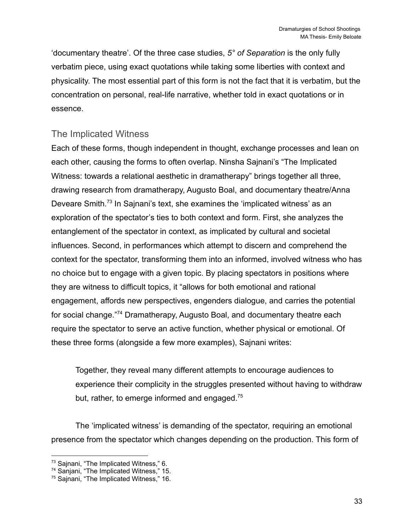'documentary theatre'. Of the three case studies, *5° of Separation* is the only fully verbatim piece, using exact quotations while taking some liberties with context and physicality. The most essential part of this form is not the fact that it is verbatim, but the concentration on personal, real-life narrative, whether told in exact quotations or in essence.

#### <span id="page-33-0"></span>The Implicated Witness

Each of these forms, though independent in thought, exchange processes and lean on each other, causing the forms to often overlap. Ninsha Sajnani's "The Implicated Witness: towards a relational aesthetic in dramatherapy" brings together all three, drawing research from dramatherapy, Augusto Boal, and documentary theatre/Anna Deveare Smith.<sup>73</sup> In Sajnani's text, she examines the 'implicated witness' as an exploration of the spectator's ties to both context and form. First, she analyzes the entanglement of the spectator in context, as implicated by cultural and societal influences. Second, in performances which attempt to discern and comprehend the context for the spectator, transforming them into an informed, involved witness who has no choice but to engage with a given topic. By placing spectators in positions where they are witness to difficult topics, it "allows for both emotional and rational engagement, affords new perspectives, engenders dialogue, and carries the potential for social change."<sup>74</sup> Dramatherapy, Augusto Boal, and documentary theatre each require the spectator to serve an active function, whether physical or emotional. Of these three forms (alongside a few more examples), Sajnani writes:

Together, they reveal many different attempts to encourage audiences to experience their complicity in the struggles presented without having to withdraw but, rather, to emerge informed and engaged.<sup>75</sup>

The 'implicated witness' is demanding of the spectator, requiring an emotional presence from the spectator which changes depending on the production. This form of

<sup>&</sup>lt;sup>73</sup> Sajnani, "The Implicated Witness," 6.

<sup>&</sup>lt;sup>74</sup> Sanjani, "The Implicated Witness," 15.

<sup>75</sup> Sajnani, "The Implicated Witness," 16.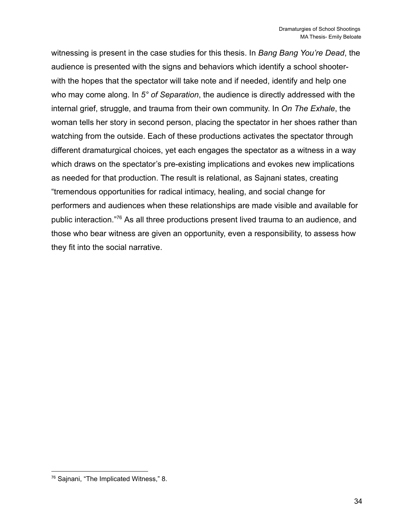witnessing is present in the case studies for this thesis. In *Bang Bang You're Dead*, the audience is presented with the signs and behaviors which identify a school shooterwith the hopes that the spectator will take note and if needed, identify and help one who may come along. In *5° of Separation*, the audience is directly addressed with the internal grief, struggle, and trauma from their own community. In *On The Exhale*, the woman tells her story in second person, placing the spectator in her shoes rather than watching from the outside. Each of these productions activates the spectator through different dramaturgical choices, yet each engages the spectator as a witness in a way which draws on the spectator's pre-existing implications and evokes new implications as needed for that production. The result is relational, as Sajnani states, creating "tremendous opportunities for radical intimacy, healing, and social change for performers and audiences when these relationships are made visible and available for public interaction."<sup>76</sup> As all three productions present lived trauma to an audience, and those who bear witness are given an opportunity, even a responsibility, to assess how they fit into the social narrative.

<sup>76</sup> Sajnani, "The Implicated Witness," 8.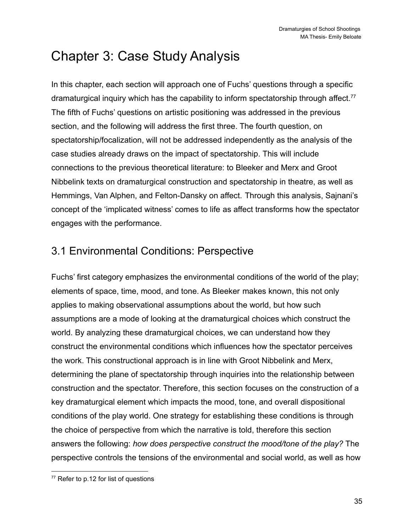# <span id="page-35-0"></span>Chapter 3: Case Study Analysis

In this chapter, each section will approach one of Fuchs' questions through a specific dramaturgical inquiry which has the capability to inform spectatorship through affect.<sup>77</sup> The fifth of Fuchs' questions on artistic positioning was addressed in the previous section, and the following will address the first three. The fourth question, on spectatorship/focalization, will not be addressed independently as the analysis of the case studies already draws on the impact of spectatorship. This will include connections to the previous theoretical literature: to Bleeker and Merx and Groot Nibbelink texts on dramaturgical construction and spectatorship in theatre, as well as Hemmings, Van Alphen, and Felton-Dansky on affect. Through this analysis, Sajnani's concept of the 'implicated witness' comes to life as affect transforms how the spectator engages with the performance.

## <span id="page-35-1"></span>3.1 Environmental Conditions: Perspective

Fuchs' first category emphasizes the environmental conditions of the world of the play; elements of space, time, mood, and tone. As Bleeker makes known, this not only applies to making observational assumptions about the world, but how such assumptions are a mode of looking at the dramaturgical choices which construct the world. By analyzing these dramaturgical choices, we can understand how they construct the environmental conditions which influences how the spectator perceives the work. This constructional approach is in line with Groot Nibbelink and Merx, determining the plane of spectatorship through inquiries into the relationship between construction and the spectator. Therefore, this section focuses on the construction of a key dramaturgical element which impacts the mood, tone, and overall dispositional conditions of the play world. One strategy for establishing these conditions is through the choice of perspective from which the narrative is told, therefore this section answers the following: *how does perspective construct the mood/tone of the play?* The perspective controls the tensions of the environmental and social world, as well as how

<sup>77</sup> Refer to p.12 for list of questions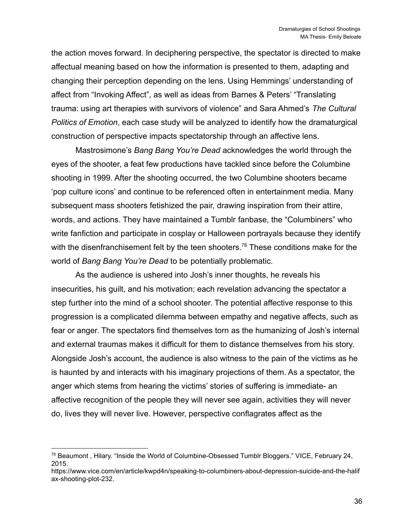the action moves forward. In deciphering perspective, the spectator is directed to make affectual meaning based on how the information is presented to them, adapting and changing their perception depending on the lens. Using Hemmings' understanding of affect from "Invoking Affect", as well as ideas from Barnes & Peters' "Translating trauma: using art therapies with survivors of violence" and Sara Ahmed's *The Cultural Politics of Emotion*, each case study will be analyzed to identify how the dramaturgical construction of perspective impacts spectatorship through an affective lens.

Mastrosimone's *Bang Bang You're Dead* acknowledges the world through the eyes of the shooter, a feat few productions have tackled since before the Columbine shooting in 1999. After the shooting occurred, the two Columbine shooters became 'pop culture icons' and continue to be referenced often in entertainment media. Many subsequent mass shooters fetishized the pair, drawing inspiration from their attire, words, and actions. They have maintained a Tumblr fanbase, the "Columbiners" who write fanfiction and participate in cosplay or Halloween portrayals because they identify with the disenfranchisement felt by the teen shooters.<sup>78</sup> These conditions make for the world of *Bang Bang You're Dead* to be potentially problematic.

As the audience is ushered into Josh's inner thoughts, he reveals his insecurities, his guilt, and his motivation; each revelation advancing the spectator a step further into the mind of a school shooter. The potential affective response to this progression is a complicated dilemma between empathy and negative affects, such as fear or anger. The spectators find themselves torn as the humanizing of Josh's internal and external traumas makes it difficult for them to distance themselves from his story. Alongside Josh's account, the audience is also witness to the pain of the victims as he is haunted by and interacts with his imaginary projections of them. As a spectator, the anger which stems from hearing the victims' stories of suffering is immediate- an affective recognition of the people they will never see again, activities they will never do, lives they will never live. However, perspective conflagrates affect as the

<sup>78</sup> Beaumont , Hilary. "Inside the World of Columbine-Obsessed Tumblr Bloggers." VICE, February 24, 2015.

https://www.vice.com/en/article/kwpd4n/speaking-to-columbiners-about-depression-suicide-and-the-halif ax-shooting-plot-232.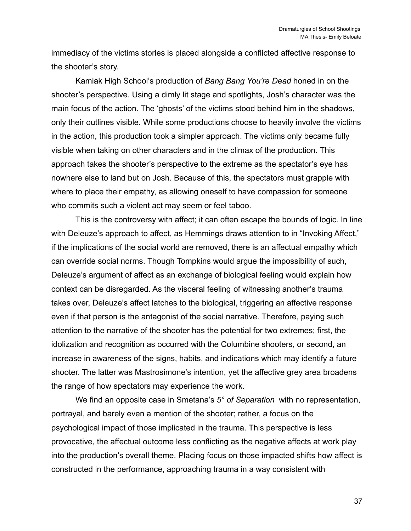immediacy of the victims stories is placed alongside a conflicted affective response to the shooter's story.

Kamiak High School's production of *Bang Bang You're Dead* honed in on the shooter's perspective. Using a dimly lit stage and spotlights, Josh's character was the main focus of the action. The 'ghosts' of the victims stood behind him in the shadows, only their outlines visible. While some productions choose to heavily involve the victims in the action, this production took a simpler approach. The victims only became fully visible when taking on other characters and in the climax of the production. This approach takes the shooter's perspective to the extreme as the spectator's eye has nowhere else to land but on Josh. Because of this, the spectators must grapple with where to place their empathy, as allowing oneself to have compassion for someone who commits such a violent act may seem or feel taboo.

This is the controversy with affect; it can often escape the bounds of logic. In line with Deleuze's approach to affect, as Hemmings draws attention to in "Invoking Affect," if the implications of the social world are removed, there is an affectual empathy which can override social norms. Though Tompkins would argue the impossibility of such, Deleuze's argument of affect as an exchange of biological feeling would explain how context can be disregarded. As the visceral feeling of witnessing another's trauma takes over, Deleuze's affect latches to the biological, triggering an affective response even if that person is the antagonist of the social narrative. Therefore, paying such attention to the narrative of the shooter has the potential for two extremes; first, the idolization and recognition as occurred with the Columbine shooters, or second, an increase in awareness of the signs, habits, and indications which may identify a future shooter. The latter was Mastrosimone's intention, yet the affective grey area broadens the range of how spectators may experience the work.

We find an opposite case in Smetana's *5° of Separation* with no representation, portrayal, and barely even a mention of the shooter; rather, a focus on the psychological impact of those implicated in the trauma. This perspective is less provocative, the affectual outcome less conflicting as the negative affects at work play into the production's overall theme. Placing focus on those impacted shifts how affect is constructed in the performance, approaching trauma in a way consistent with

37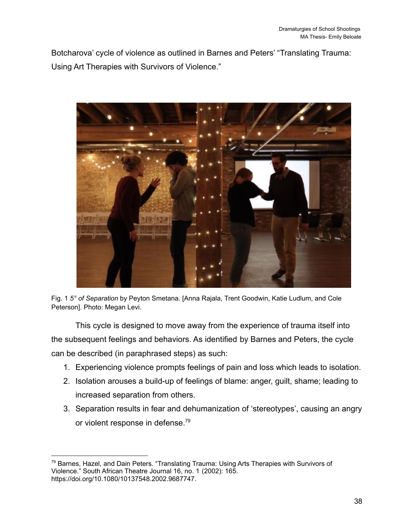Botcharova' cycle of violence as outlined in Barnes and Peters' "Translating Trauma: Using Art Therapies with Survivors of Violence."



Fig. 1 *5° of Separation* by Peyton Smetana. [Anna Rajala, Trent Goodwin, Katie Ludlum, and Cole Peterson]. Photo: Megan Levi.

This cycle is designed to move away from the experience of trauma itself into the subsequent feelings and behaviors. As identified by Barnes and Peters, the cycle can be described (in paraphrased steps) as such:

- 1. Experiencing violence prompts feelings of pain and loss which leads to isolation.
- 2. Isolation arouses a build-up of feelings of blame: anger, guilt, shame; leading to increased separation from others.
- 3. Separation results in fear and dehumanization of 'stereotypes', causing an angry or violent response in defense.<sup>79</sup>

<sup>79</sup> Barnes, Hazel, and Dain Peters. "Translating Trauma: Using Arts Therapies with Survivors of Violence." South African Theatre Journal 16, no. 1 (2002): 165. https://doi.org/10.1080/10137548.2002.9687747.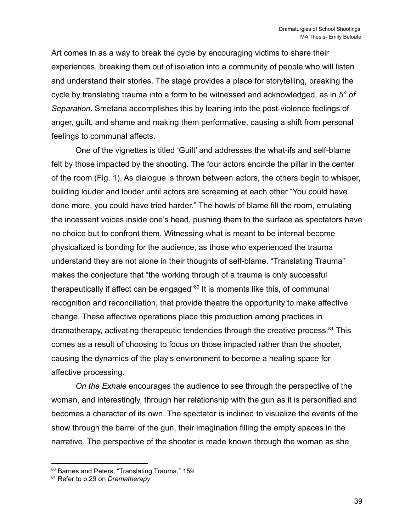Art comes in as a way to break the cycle by encouraging victims to share their experiences, breaking them out of isolation into a community of people who will listen and understand their stories. The stage provides a place for storytelling, breaking the cycle by translating trauma into a form to be witnessed and acknowledged, as in *5° of Separation*. Smetana accomplishes this by leaning into the post-violence feelings of anger, guilt, and shame and making them performative, causing a shift from personal feelings to communal affects.

One of the vignettes is titled 'Guilt' and addresses the what-ifs and self-blame felt by those impacted by the shooting. The four actors encircle the pillar in the center of the room (Fig. 1). As dialogue is thrown between actors, the others begin to whisper, building louder and louder until actors are screaming at each other "You could have done more, you could have tried harder." The howls of blame fill the room, emulating the incessant voices inside one's head, pushing them to the surface as spectators have no choice but to confront them. Witnessing what is meant to be internal become physicalized is bonding for the audience, as those who experienced the trauma understand they are not alone in their thoughts of self-blame. "Translating Trauma" makes the conjecture that "the working through of a trauma is only successful therapeutically if affect can be engaged"<sup>80</sup> It is moments like this, of communal recognition and reconciliation, that provide theatre the opportunity to make affective change. These affective operations place this production among practices in dramatherapy, activating therapeutic tendencies through the creative process.<sup>81</sup> This comes as a result of choosing to focus on those impacted rather than the shooter, causing the dynamics of the play's environment to become a healing space for affective processing.

*On the Exhale* encourages the audience to see through the perspective of the woman, and interestingly, through her relationship with the gun as it is personified and becomes a character of its own. The spectator is inclined to visualize the events of the show through the barrel of the gun, their imagination filling the empty spaces in the narrative. The perspective of the shooter is made known through the woman as she

<sup>80</sup> Barnes and Peters, "Translating Trauma," 159.

<sup>81</sup> Refer to p.29 on *Dramatherapy*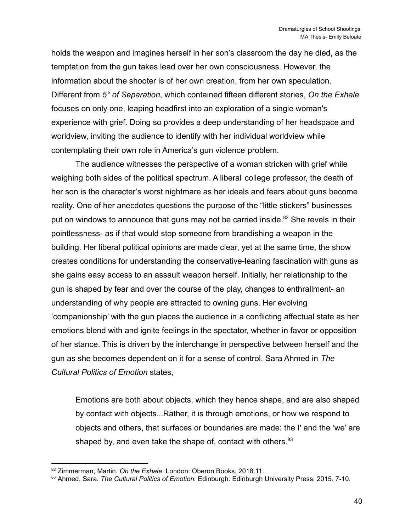holds the weapon and imagines herself in her son's classroom the day he died, as the temptation from the gun takes lead over her own consciousness. However, the information about the shooter is of her own creation, from her own speculation. Different from *5° of Separation*, which contained fifteen different stories, *On the Exhale* focuses on only one, leaping headfirst into an exploration of a single woman's experience with grief. Doing so provides a deep understanding of her headspace and worldview, inviting the audience to identify with her individual worldview while contemplating their own role in America's gun violence problem.

The audience witnesses the perspective of a woman stricken with grief while weighing both sides of the political spectrum. A liberal college professor, the death of her son is the character's worst nightmare as her ideals and fears about guns become reality. One of her anecdotes questions the purpose of the "little stickers" businesses put on windows to announce that guns may not be carried inside.<sup>82</sup> She revels in their pointlessness- as if that would stop someone from brandishing a weapon in the building. Her liberal political opinions are made clear, yet at the same time, the show creates conditions for understanding the conservative-leaning fascination with guns as she gains easy access to an assault weapon herself. Initially, her relationship to the gun is shaped by fear and over the course of the play, changes to enthrallment- an understanding of why people are attracted to owning guns. Her evolving 'companionship' with the gun places the audience in a conflicting affectual state as her emotions blend with and ignite feelings in the spectator, whether in favor or opposition of her stance. This is driven by the interchange in perspective between herself and the gun as she becomes dependent on it for a sense of control. Sara Ahmed in *The Cultural Politics of Emotion* states,

Emotions are both about objects, which they hence shape, and are also shaped by contact with objects...Rather, it is through emotions, or how we respond to objects and others, that surfaces or boundaries are made: the I' and the 'we' are shaped by, and even take the shape of, contact with others.<sup>83</sup>

<sup>82</sup> Zimmerman, Martin. *On the Exhale*. London: Oberon Books, 2018.11.

<sup>83</sup> Ahmed, Sara. *The Cultural Politics of Emotion.* Edinburgh: Edinburgh University Press, 2015. 7-10.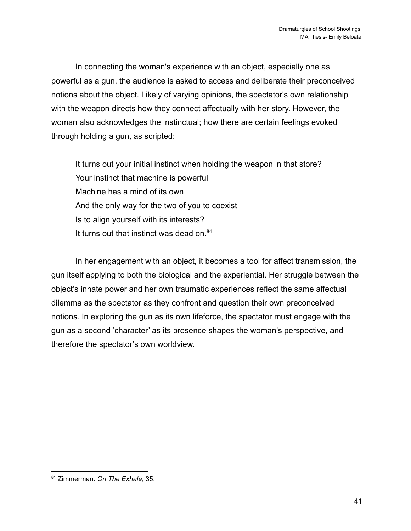In connecting the woman's experience with an object, especially one as powerful as a gun, the audience is asked to access and deliberate their preconceived notions about the object. Likely of varying opinions, the spectator's own relationship with the weapon directs how they connect affectually with her story. However, the woman also acknowledges the instinctual; how there are certain feelings evoked through holding a gun, as scripted:

It turns out your initial instinct when holding the weapon in that store? Your instinct that machine is powerful Machine has a mind of its own And the only way for the two of you to coexist Is to align yourself with its interests? It turns out that instinct was dead on. $84$ 

In her engagement with an object, it becomes a tool for affect transmission, the gun itself applying to both the biological and the experiential. Her struggle between the object's innate power and her own traumatic experiences reflect the same affectual dilemma as the spectator as they confront and question their own preconceived notions. In exploring the gun as its own lifeforce, the spectator must engage with the gun as a second 'character' as its presence shapes the woman's perspective, and therefore the spectator's own worldview.

<sup>84</sup> Zimmerman. *On The Exhale*, 35.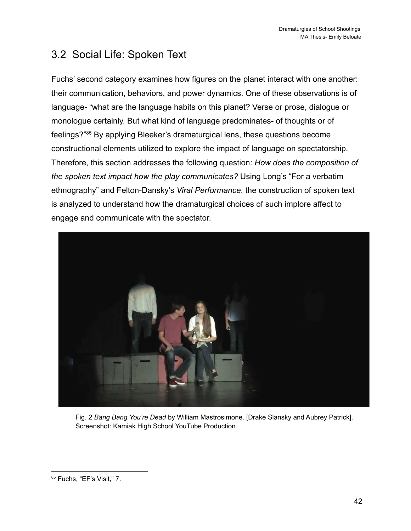## <span id="page-42-0"></span>3.2 Social Life: Spoken Text

Fuchs' second category examines how figures on the planet interact with one another: their communication, behaviors, and power dynamics. One of these observations is of language- "what are the language habits on this planet? Verse or prose, dialogue or monologue certainly. But what kind of language predominates- of thoughts or of feelings?"<sup>85</sup> By applying Bleeker's dramaturgical lens, these questions become constructional elements utilized to explore the impact of language on spectatorship. Therefore, this section addresses the following question: *How does the composition of the spoken text impact how the play communicates?* Using Long's "For a verbatim ethnography" and Felton-Dansky's *Viral Performance*, the construction of spoken text is analyzed to understand how the dramaturgical choices of such implore affect to engage and communicate with the spectator.



Fig. 2 *Bang Bang You're Dead* by William Mastrosimone. [Drake Slansky and Aubrey Patrick]. Screenshot: Kamiak High School YouTube Production.

<sup>85</sup> Fuchs, "EF's Visit," 7.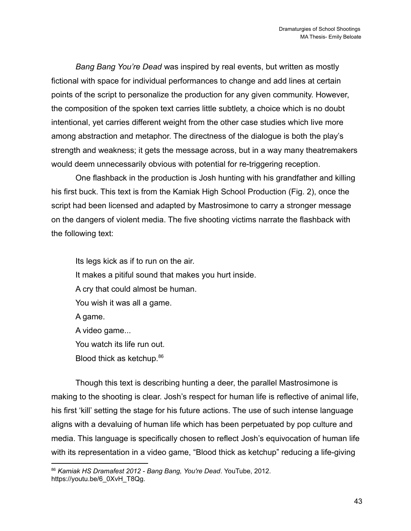*Bang Bang You're Dead* was inspired by real events, but written as mostly fictional with space for individual performances to change and add lines at certain points of the script to personalize the production for any given community. However, the composition of the spoken text carries little subtlety, a choice which is no doubt intentional, yet carries different weight from the other case studies which live more among abstraction and metaphor. The directness of the dialogue is both the play's strength and weakness; it gets the message across, but in a way many theatremakers would deem unnecessarily obvious with potential for re-triggering reception.

One flashback in the production is Josh hunting with his grandfather and killing his first buck. This text is from the Kamiak High School Production (Fig. 2), once the script had been licensed and adapted by Mastrosimone to carry a stronger message on the dangers of violent media. The five shooting victims narrate the flashback with the following text:

Its legs kick as if to run on the air. It makes a pitiful sound that makes you hurt inside. A cry that could almost be human. You wish it was all a game. A game. A video game... You watch its life run out. Blood thick as ketchup.<sup>86</sup>

Though this text is describing hunting a deer, the parallel Mastrosimone is making to the shooting is clear. Josh's respect for human life is reflective of animal life, his first 'kill' setting the stage for his future actions. The use of such intense language aligns with a devaluing of human life which has been perpetuated by pop culture and media. This language is specifically chosen to reflect Josh's equivocation of human life with its representation in a video game, "Blood thick as ketchup" reducing a life-giving

<sup>86</sup> *Kamiak HS Dramafest 2012 - Bang Bang, You're Dead*. YouTube, 2012. https://youtu.be/6\_0XvH\_T8Qg.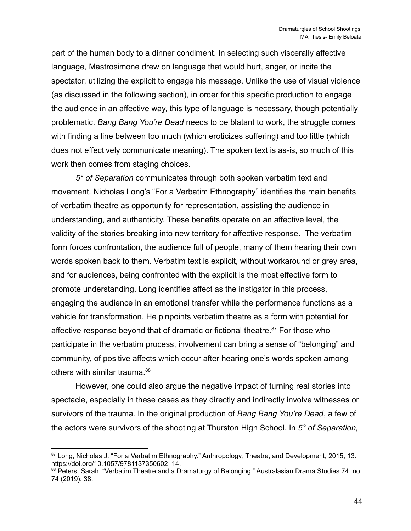part of the human body to a dinner condiment. In selecting such viscerally affective language, Mastrosimone drew on language that would hurt, anger, or incite the spectator, utilizing the explicit to engage his message. Unlike the use of visual violence (as discussed in the following section), in order for this specific production to engage the audience in an affective way, this type of language is necessary, though potentially problematic. *Bang Bang You're Dead* needs to be blatant to work, the struggle comes with finding a line between too much (which eroticizes suffering) and too little (which does not effectively communicate meaning). The spoken text is as-is, so much of this work then comes from staging choices.

*5° of Separation* communicates through both spoken verbatim text and movement. Nicholas Long's "For a Verbatim Ethnography" identifies the main benefits of verbatim theatre as opportunity for representation, assisting the audience in understanding, and authenticity. These benefits operate on an affective level, the validity of the stories breaking into new territory for affective response. The verbatim form forces confrontation, the audience full of people, many of them hearing their own words spoken back to them. Verbatim text is explicit, without workaround or grey area, and for audiences, being confronted with the explicit is the most effective form to promote understanding. Long identifies affect as the instigator in this process, engaging the audience in an emotional transfer while the performance functions as a vehicle for transformation. He pinpoints verbatim theatre as a form with potential for affective response beyond that of dramatic or fictional theatre. $87$  For those who participate in the verbatim process, involvement can bring a sense of "belonging" and community, of positive affects which occur after hearing one's words spoken among others with similar trauma.<sup>88</sup>

However, one could also argue the negative impact of turning real stories into spectacle, especially in these cases as they directly and indirectly involve witnesses or survivors of the trauma. In the original production of *Bang Bang You're Dead*, a few of the actors were survivors of the shooting at Thurston High School. In *5° of Separation,*

<sup>87</sup> Long, Nicholas J. "For a Verbatim Ethnography." Anthropology, Theatre, and Development, 2015, 13. https://doi.org/10.1057/9781137350602\_14.

<sup>88</sup> Peters, Sarah. "Verbatim Theatre and a Dramaturgy of Belonging." Australasian Drama Studies 74, no. 74 (2019): 38.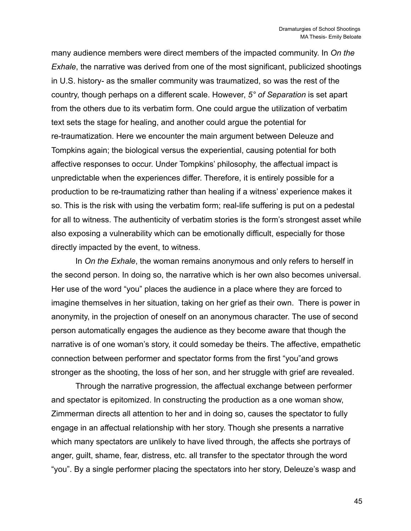many audience members were direct members of the impacted community. In *On the Exhale*, the narrative was derived from one of the most significant, publicized shootings in U.S. history- as the smaller community was traumatized, so was the rest of the country, though perhaps on a different scale. However, *5° of Separation* is set apart from the others due to its verbatim form. One could argue the utilization of verbatim text sets the stage for healing, and another could argue the potential for re-traumatization. Here we encounter the main argument between Deleuze and Tompkins again; the biological versus the experiential, causing potential for both affective responses to occur. Under Tompkins' philosophy, the affectual impact is unpredictable when the experiences differ. Therefore, it is entirely possible for a production to be re-traumatizing rather than healing if a witness' experience makes it so. This is the risk with using the verbatim form; real-life suffering is put on a pedestal for all to witness. The authenticity of verbatim stories is the form's strongest asset while also exposing a vulnerability which can be emotionally difficult, especially for those directly impacted by the event, to witness.

In *On the Exhale*, the woman remains anonymous and only refers to herself in the second person. In doing so, the narrative which is her own also becomes universal. Her use of the word "you" places the audience in a place where they are forced to imagine themselves in her situation, taking on her grief as their own. There is power in anonymity, in the projection of oneself on an anonymous character. The use of second person automatically engages the audience as they become aware that though the narrative is of one woman's story, it could someday be theirs. The affective, empathetic connection between performer and spectator forms from the first "you"and grows stronger as the shooting, the loss of her son, and her struggle with grief are revealed.

Through the narrative progression, the affectual exchange between performer and spectator is epitomized. In constructing the production as a one woman show, Zimmerman directs all attention to her and in doing so, causes the spectator to fully engage in an affectual relationship with her story. Though she presents a narrative which many spectators are unlikely to have lived through, the affects she portrays of anger, guilt, shame, fear, distress, etc. all transfer to the spectator through the word "you". By a single performer placing the spectators into her story, Deleuze's wasp and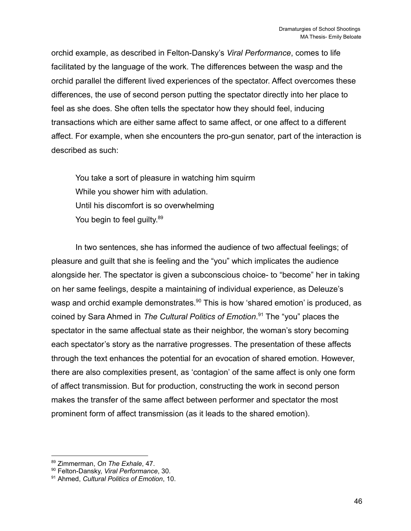orchid example, as described in Felton-Dansky's *Viral Performance*, comes to life facilitated by the language of the work. The differences between the wasp and the orchid parallel the different lived experiences of the spectator. Affect overcomes these differences, the use of second person putting the spectator directly into her place to feel as she does. She often tells the spectator how they should feel, inducing transactions which are either same affect to same affect, or one affect to a different affect. For example, when she encounters the pro-gun senator, part of the interaction is described as such:

You take a sort of pleasure in watching him squirm While you shower him with adulation. Until his discomfort is so overwhelming You begin to feel guilty.<sup>89</sup>

In two sentences, she has informed the audience of two affectual feelings; of pleasure and guilt that she is feeling and the "you" which implicates the audience alongside her. The spectator is given a subconscious choice- to "become" her in taking on her same feelings, despite a maintaining of individual experience, as Deleuze's wasp and orchid example demonstrates.<sup>90</sup> This is how 'shared emotion' is produced, as coined by Sara Ahmed in *The Cultural Politics of Emotion*. <sup>91</sup> The "you" places the spectator in the same affectual state as their neighbor, the woman's story becoming each spectator's story as the narrative progresses. The presentation of these affects through the text enhances the potential for an evocation of shared emotion. However, there are also complexities present, as 'contagion' of the same affect is only one form of affect transmission. But for production, constructing the work in second person makes the transfer of the same affect between performer and spectator the most prominent form of affect transmission (as it leads to the shared emotion).

<sup>89</sup> Zimmerman, *On The Exhale*, 47.

<sup>90</sup> Felton-Dansky, *Viral Performance*, 30.

<sup>91</sup> Ahmed, *Cultural Politics of Emotion*, 10.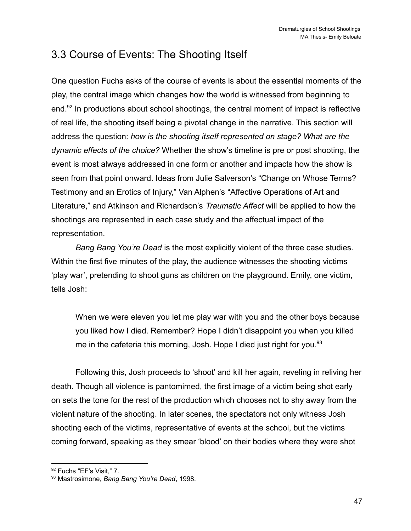## <span id="page-47-0"></span>3.3 Course of Events: The Shooting Itself

One question Fuchs asks of the course of events is about the essential moments of the play, the central image which changes how the world is witnessed from beginning to end.<sup>92</sup> In productions about school shootings, the central moment of impact is reflective of real life, the shooting itself being a pivotal change in the narrative. This section will address the question: *how is the shooting itself represented on stage? What are the dynamic effects of the choice?* Whether the show's timeline is pre or post shooting, the event is most always addressed in one form or another and impacts how the show is seen from that point onward. Ideas from Julie Salverson's "Change on Whose Terms? Testimony and an Erotics of Injury," Van Alphen's "Affective Operations of Art and Literature," and Atkinson and Richardson's *Traumatic Affect* will be applied to how the shootings are represented in each case study and the affectual impact of the representation.

*Bang Bang You're Dead* is the most explicitly violent of the three case studies. Within the first five minutes of the play, the audience witnesses the shooting victims 'play war', pretending to shoot guns as children on the playground. Emily, one victim, tells Josh:

When we were eleven you let me play war with you and the other boys because you liked how I died. Remember? Hope I didn't disappoint you when you killed me in the cafeteria this morning, Josh. Hope I died just right for you.<sup>93</sup>

Following this, Josh proceeds to 'shoot' and kill her again, reveling in reliving her death. Though all violence is pantomimed, the first image of a victim being shot early on sets the tone for the rest of the production which chooses not to shy away from the violent nature of the shooting. In later scenes, the spectators not only witness Josh shooting each of the victims, representative of events at the school, but the victims coming forward, speaking as they smear 'blood' on their bodies where they were shot

<sup>92</sup> Fuchs "EF's Visit," 7.

<sup>93</sup> Mastrosimone, *Bang Bang You're Dead*, 1998.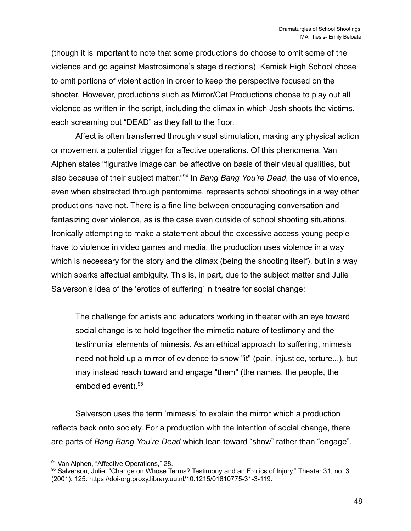(though it is important to note that some productions do choose to omit some of the violence and go against Mastrosimone's stage directions). Kamiak High School chose to omit portions of violent action in order to keep the perspective focused on the shooter. However, productions such as Mirror/Cat Productions choose to play out all violence as written in the script, including the climax in which Josh shoots the victims, each screaming out "DEAD" as they fall to the floor.

Affect is often transferred through visual stimulation, making any physical action or movement a potential trigger for affective operations. Of this phenomena, Van Alphen states "figurative image can be affective on basis of their visual qualities, but also because of their subject matter."<sup>94</sup> In *Bang Bang You're Dead*, the use of violence, even when abstracted through pantomime, represents school shootings in a way other productions have not. There is a fine line between encouraging conversation and fantasizing over violence, as is the case even outside of school shooting situations. Ironically attempting to make a statement about the excessive access young people have to violence in video games and media, the production uses violence in a way which is necessary for the story and the climax (being the shooting itself), but in a way which sparks affectual ambiguity. This is, in part, due to the subject matter and Julie Salverson's idea of the 'erotics of suffering' in theatre for social change:

The challenge for artists and educators working in theater with an eye toward social change is to hold together the mimetic nature of testimony and the testimonial elements of mimesis. As an ethical approach to suffering, mimesis need not hold up a mirror of evidence to show "it" (pain, injustice, torture...), but may instead reach toward and engage "them" (the names, the people, the embodied event).<sup>95</sup>

Salverson uses the term 'mimesis' to explain the mirror which a production reflects back onto society. For a production with the intention of social change, there are parts of *Bang Bang You're Dead* which lean toward "show" rather than "engage".

<sup>94</sup> Van Alphen, "Affective Operations," 28.

<sup>95</sup> Salverson, Julie. "Change on Whose Terms? Testimony and an Erotics of Injury." Theater 31, no. 3 (2001): 125. https://doi-org.proxy.library.uu.nl/10.1215/01610775-31-3-119.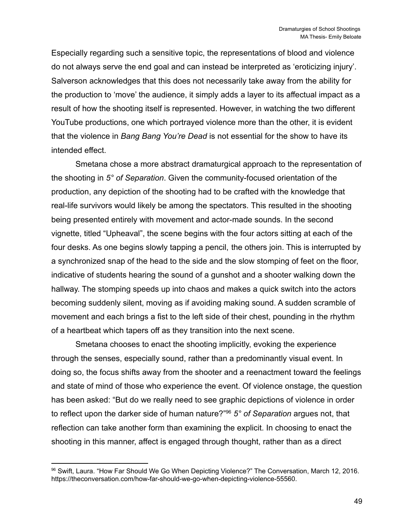Especially regarding such a sensitive topic, the representations of blood and violence do not always serve the end goal and can instead be interpreted as 'eroticizing injury'. Salverson acknowledges that this does not necessarily take away from the ability for the production to 'move' the audience, it simply adds a layer to its affectual impact as a result of how the shooting itself is represented. However, in watching the two different YouTube productions, one which portrayed violence more than the other, it is evident that the violence in *Bang Bang You're Dead* is not essential for the show to have its intended effect.

Smetana chose a more abstract dramaturgical approach to the representation of the shooting in *5° of Separation*. Given the community-focused orientation of the production, any depiction of the shooting had to be crafted with the knowledge that real-life survivors would likely be among the spectators. This resulted in the shooting being presented entirely with movement and actor-made sounds. In the second vignette, titled "Upheaval", the scene begins with the four actors sitting at each of the four desks. As one begins slowly tapping a pencil, the others join. This is interrupted by a synchronized snap of the head to the side and the slow stomping of feet on the floor, indicative of students hearing the sound of a gunshot and a shooter walking down the hallway. The stomping speeds up into chaos and makes a quick switch into the actors becoming suddenly silent, moving as if avoiding making sound. A sudden scramble of movement and each brings a fist to the left side of their chest, pounding in the rhythm of a heartbeat which tapers off as they transition into the next scene.

Smetana chooses to enact the shooting implicitly, evoking the experience through the senses, especially sound, rather than a predominantly visual event. In doing so, the focus shifts away from the shooter and a reenactment toward the feelings and state of mind of those who experience the event. Of violence onstage, the question has been asked: "But do we really need to see graphic depictions of violence in order to reflect upon the darker side of human nature?"<sup>96</sup> *5° of Separation* argues not, that reflection can take another form than examining the explicit. In choosing to enact the shooting in this manner, affect is engaged through thought, rather than as a direct

<sup>96</sup> Swift, Laura. "How Far Should We Go When Depicting Violence?" The Conversation, March 12, 2016. https://theconversation.com/how-far-should-we-go-when-depicting-violence-55560.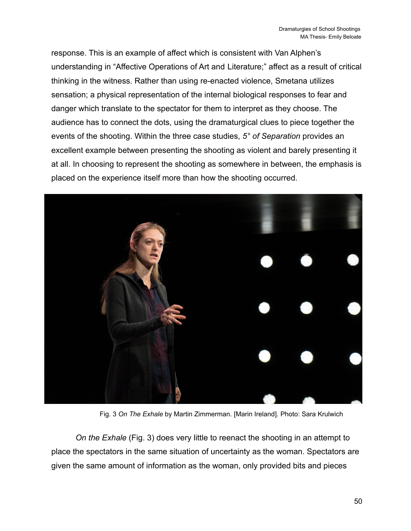response. This is an example of affect which is consistent with Van Alphen's understanding in "Affective Operations of Art and Literature;" affect as a result of critical thinking in the witness. Rather than using re-enacted violence, Smetana utilizes sensation; a physical representation of the internal biological responses to fear and danger which translate to the spectator for them to interpret as they choose. The audience has to connect the dots, using the dramaturgical clues to piece together the events of the shooting. Within the three case studies, *5° of Separation* provides an excellent example between presenting the shooting as violent and barely presenting it at all. In choosing to represent the shooting as somewhere in between, the emphasis is placed on the experience itself more than how the shooting occurred.



Fig. 3 *On The Exhale* by Martin Zimmerman. [Marin Ireland]. Photo: Sara Krulwich

*On the Exhale* (Fig. 3) does very little to reenact the shooting in an attempt to place the spectators in the same situation of uncertainty as the woman. Spectators are given the same amount of information as the woman, only provided bits and pieces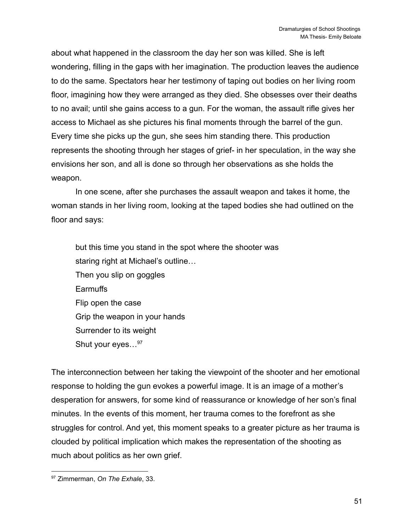about what happened in the classroom the day her son was killed. She is left wondering, filling in the gaps with her imagination. The production leaves the audience to do the same. Spectators hear her testimony of taping out bodies on her living room floor, imagining how they were arranged as they died. She obsesses over their deaths to no avail; until she gains access to a gun. For the woman, the assault rifle gives her access to Michael as she pictures his final moments through the barrel of the gun. Every time she picks up the gun, she sees him standing there. This production represents the shooting through her stages of grief- in her speculation, in the way she envisions her son, and all is done so through her observations as she holds the weapon.

In one scene, after she purchases the assault weapon and takes it home, the woman stands in her living room, looking at the taped bodies she had outlined on the floor and says:

but this time you stand in the spot where the shooter was staring right at Michael's outline… Then you slip on goggles Earmuffs Flip open the case Grip the weapon in your hands Surrender to its weight Shut your eyes...<sup>97</sup>

The interconnection between her taking the viewpoint of the shooter and her emotional response to holding the gun evokes a powerful image. It is an image of a mother's desperation for answers, for some kind of reassurance or knowledge of her son's final minutes. In the events of this moment, her trauma comes to the forefront as she struggles for control. And yet, this moment speaks to a greater picture as her trauma is clouded by political implication which makes the representation of the shooting as much about politics as her own grief.

<sup>97</sup> Zimmerman, *On The Exhale*, 33.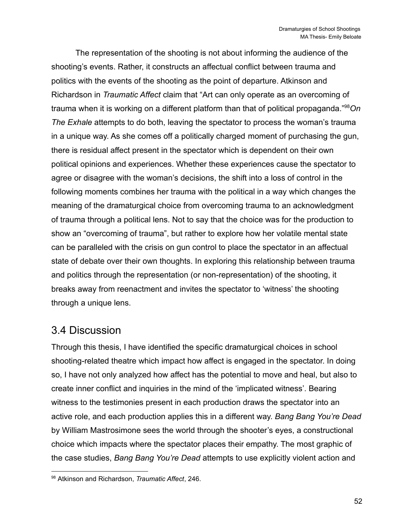The representation of the shooting is not about informing the audience of the shooting's events. Rather, it constructs an affectual conflict between trauma and politics with the events of the shooting as the point of departure. Atkinson and Richardson in *Traumatic Affect* claim that "Art can only operate as an overcoming of trauma when it is working on a different platform than that of political propaganda."<sup>98</sup>*On The Exhale* attempts to do both, leaving the spectator to process the woman's trauma in a unique way. As she comes off a politically charged moment of purchasing the gun, there is residual affect present in the spectator which is dependent on their own political opinions and experiences. Whether these experiences cause the spectator to agree or disagree with the woman's decisions, the shift into a loss of control in the following moments combines her trauma with the political in a way which changes the meaning of the dramaturgical choice from overcoming trauma to an acknowledgment of trauma through a political lens. Not to say that the choice was for the production to show an "overcoming of trauma", but rather to explore how her volatile mental state can be paralleled with the crisis on gun control to place the spectator in an affectual state of debate over their own thoughts. In exploring this relationship between trauma and politics through the representation (or non-representation) of the shooting, it breaks away from reenactment and invites the spectator to 'witness' the shooting through a unique lens.

### <span id="page-52-0"></span>3.4 Discussion

Through this thesis, I have identified the specific dramaturgical choices in school shooting-related theatre which impact how affect is engaged in the spectator. In doing so, I have not only analyzed how affect has the potential to move and heal, but also to create inner conflict and inquiries in the mind of the 'implicated witness'. Bearing witness to the testimonies present in each production draws the spectator into an active role, and each production applies this in a different way. *Bang Bang You're Dead* by William Mastrosimone sees the world through the shooter's eyes, a constructional choice which impacts where the spectator places their empathy. The most graphic of the case studies, *Bang Bang You're Dead* attempts to use explicitly violent action and

<sup>98</sup> Atkinson and Richardson, *Traumatic Affect*, 246.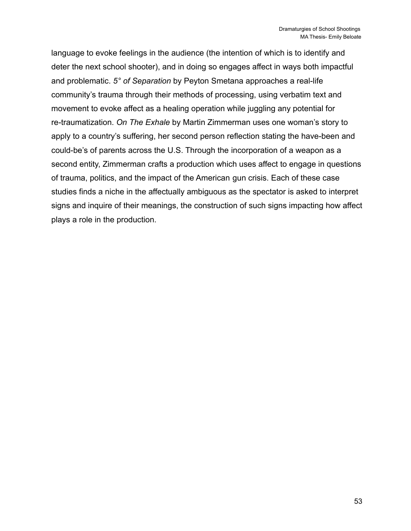language to evoke feelings in the audience (the intention of which is to identify and deter the next school shooter), and in doing so engages affect in ways both impactful and problematic. *5° of Separation* by Peyton Smetana approaches a real-life community's trauma through their methods of processing, using verbatim text and movement to evoke affect as a healing operation while juggling any potential for re-traumatization. *On The Exhale* by Martin Zimmerman uses one woman's story to apply to a country's suffering, her second person reflection stating the have-been and could-be's of parents across the U.S. Through the incorporation of a weapon as a second entity, Zimmerman crafts a production which uses affect to engage in questions of trauma, politics, and the impact of the American gun crisis. Each of these case studies finds a niche in the affectually ambiguous as the spectator is asked to interpret signs and inquire of their meanings, the construction of such signs impacting how affect plays a role in the production.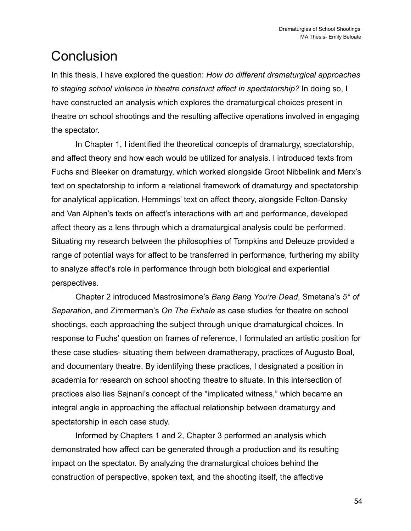# <span id="page-54-0"></span>**Conclusion**

In this thesis, I have explored the question: *How do different dramaturgical approaches to staging school violence in theatre construct affect in spectatorship?* In doing so, I have constructed an analysis which explores the dramaturgical choices present in theatre on school shootings and the resulting affective operations involved in engaging the spectator.

In Chapter 1, I identified the theoretical concepts of dramaturgy, spectatorship, and affect theory and how each would be utilized for analysis. I introduced texts from Fuchs and Bleeker on dramaturgy, which worked alongside Groot Nibbelink and Merx's text on spectatorship to inform a relational framework of dramaturgy and spectatorship for analytical application. Hemmings' text on affect theory, alongside Felton-Dansky and Van Alphen's texts on affect's interactions with art and performance, developed affect theory as a lens through which a dramaturgical analysis could be performed. Situating my research between the philosophies of Tompkins and Deleuze provided a range of potential ways for affect to be transferred in performance, furthering my ability to analyze affect's role in performance through both biological and experiential perspectives.

Chapter 2 introduced Mastrosimone's *Bang Bang You're Dead*, Smetana's *5° of Separation*, and Zimmerman's *On The Exhale* as case studies for theatre on school shootings, each approaching the subject through unique dramaturgical choices. In response to Fuchs' question on frames of reference, I formulated an artistic position for these case studies- situating them between dramatherapy, practices of Augusto Boal, and documentary theatre. By identifying these practices, I designated a position in academia for research on school shooting theatre to situate. In this intersection of practices also lies Sajnani's concept of the "implicated witness," which became an integral angle in approaching the affectual relationship between dramaturgy and spectatorship in each case study.

Informed by Chapters 1 and 2, Chapter 3 performed an analysis which demonstrated how affect can be generated through a production and its resulting impact on the spectator. By analyzing the dramaturgical choices behind the construction of perspective, spoken text, and the shooting itself, the affective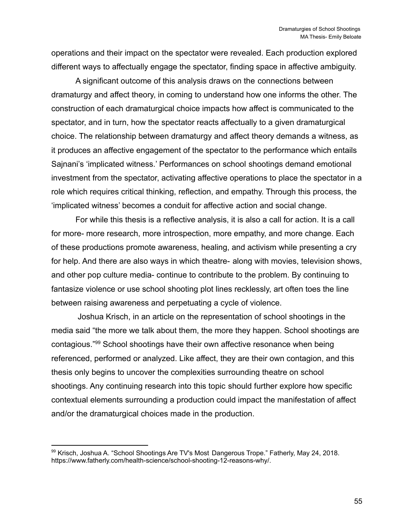operations and their impact on the spectator were revealed. Each production explored different ways to affectually engage the spectator, finding space in affective ambiguity.

A significant outcome of this analysis draws on the connections between dramaturgy and affect theory, in coming to understand how one informs the other. The construction of each dramaturgical choice impacts how affect is communicated to the spectator, and in turn, how the spectator reacts affectually to a given dramaturgical choice. The relationship between dramaturgy and affect theory demands a witness, as it produces an affective engagement of the spectator to the performance which entails Sajnani's 'implicated witness.' Performances on school shootings demand emotional investment from the spectator, activating affective operations to place the spectator in a role which requires critical thinking, reflection, and empathy. Through this process, the 'implicated witness' becomes a conduit for affective action and social change.

For while this thesis is a reflective analysis, it is also a call for action. It is a call for more- more research, more introspection, more empathy, and more change. Each of these productions promote awareness, healing, and activism while presenting a cry for help. And there are also ways in which theatre- along with movies, television shows, and other pop culture media- continue to contribute to the problem. By continuing to fantasize violence or use school shooting plot lines recklessly, art often toes the line between raising awareness and perpetuating a cycle of violence.

Joshua Krisch, in an article on the representation of school shootings in the media said "the more we talk about them, the more they happen. School shootings are contagious."<sup>99</sup> School shootings have their own affective resonance when being referenced, performed or analyzed. Like affect, they are their own contagion, and this thesis only begins to uncover the complexities surrounding theatre on school shootings. Any continuing research into this topic should further explore how specific contextual elements surrounding a production could impact the manifestation of affect and/or the dramaturgical choices made in the production.

<sup>99</sup> Krisch, Joshua A. "School Shootings Are TV's Most Dangerous Trope." Fatherly, May 24, 2018. https://www.fatherly.com/health-science/school-shooting-12-reasons-why/.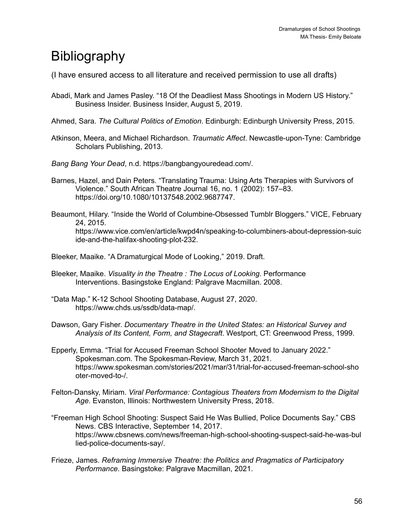# <span id="page-56-0"></span>**Bibliography**

(I have ensured access to all literature and received permission to use all drafts)

- Abadi, Mark and James Pasley. "18 Of the Deadliest Mass Shootings in Modern US History." Business Insider. Business Insider, August 5, 2019.
- Ahmed, Sara. *The Cultural Politics of Emotion*. Edinburgh: Edinburgh University Press, 2015.
- Atkinson, Meera, and Michael Richardson. *Traumatic Affect*. Newcastle-upon-Tyne: Cambridge Scholars Publishing, 2013.
- *Bang Bang Your Dead*, n.d. https://bangbangyouredead.com/.
- Barnes, Hazel, and Dain Peters. "Translating Trauma: Using Arts Therapies with Survivors of Violence." South African Theatre Journal 16, no. 1 (2002): 157–83. https://doi.org/10.1080/10137548.2002.9687747.
- Beaumont, Hilary. "Inside the World of Columbine-Obsessed Tumblr Bloggers." VICE, February 24, 2015. https://www.vice.com/en/article/kwpd4n/speaking-to-columbiners-about-depression-suic ide-and-the-halifax-shooting-plot-232.
- Bleeker, Maaike. "A Dramaturgical Mode of Looking," 2019. Draft.
- Bleeker, Maaike. *Visuality in the Theatre : The Locus of Looking*. Performance Interventions. Basingstoke England: Palgrave Macmillan. 2008.
- "Data Map." K-12 School Shooting Database, August 27, 2020. https://www.chds.us/ssdb/data-map/.
- Dawson, Gary Fisher. *Documentary Theatre in the United States: an Historical Survey and Analysis of Its Content, Form, and Stagecraft*. Westport, CT: Greenwood Press, 1999.
- Epperly, Emma. "Trial for Accused Freeman School Shooter Moved to January 2022." Spokesman.com. The Spokesman-Review, March 31, 2021. https://www.spokesman.com/stories/2021/mar/31/trial-for-accused-freeman-school-sho oter-moved-to-/.
- Felton-Dansky, Miriam. *Viral Performance: Contagious Theaters from Modernism to the Digital Age*. Evanston, Illinois: Northwestern University Press, 2018.
- "Freeman High School Shooting: Suspect Said He Was Bullied, Police Documents Say." CBS News. CBS Interactive, September 14, 2017. https://www.cbsnews.com/news/freeman-high-school-shooting-suspect-said-he-was-bul lied-police-documents-say/.
- Frieze, James. *Reframing Immersive Theatre: the Politics and Pragmatics of Participatory Performance*. Basingstoke: Palgrave Macmillan, 2021.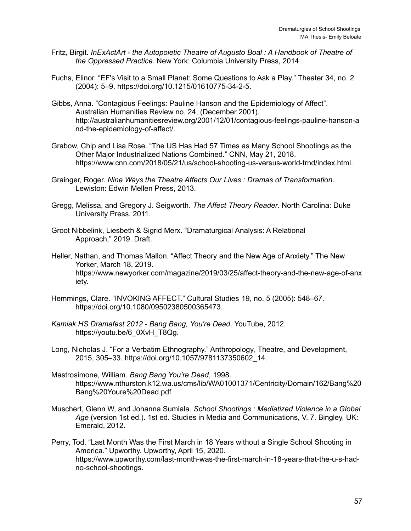- Fritz, Birgit. *InExActArt - the Autopoietic Theatre of Augusto Boal : A Handbook of Theatre of the Oppressed Practice*. New York: Columbia University Press, 2014.
- Fuchs, Elinor. "EF's Visit to a Small Planet: Some Questions to Ask a Play." Theater 34, no. 2 (2004): 5–9. https://doi.org/10.1215/01610775-34-2-5.
- Gibbs, Anna. "Contagious Feelings: Pauline Hanson and the Epidemiology of Affect". Australian Humanities Review no. 24, (December 2001). http://australianhumanitiesreview.org/2001/12/01/contagious-feelings-pauline-hanson-a nd-the-epidemiology-of-affect/.
- Grabow, Chip and Lisa Rose. "The US Has Had 57 Times as Many School Shootings as the Other Major Industrialized Nations Combined." CNN, May 21, 2018. https://www.cnn.com/2018/05/21/us/school-shooting-us-versus-world-trnd/index.html.
- Grainger, Roger. *Nine Ways the Theatre Affects Our Lives : Dramas of Transformation*. Lewiston: Edwin Mellen Press, 2013.
- Gregg, Melissa, and Gregory J. Seigworth. *The Affect Theory Reader*. North Carolina: Duke University Press, 2011.
- Groot Nibbelink, Liesbeth & Sigrid Merx. "Dramaturgical Analysis: A Relational Approach," 2019. Draft.
- Heller, Nathan, and Thomas Mallon. "Affect Theory and the New Age of Anxiety." The New Yorker, March 18, 2019. https://www.newyorker.com/magazine/2019/03/25/affect-theory-and-the-new-age-of-anx iety.
- Hemmings, Clare. "INVOKING AFFECT." Cultural Studies 19, no. 5 (2005): 548–67. https://doi.org/10.1080/09502380500365473.
- *Kamiak HS Dramafest 2012 - Bang Bang, You're Dead*. YouTube, 2012. https://youtu.be/6\_0XvH\_T8Qg.
- Long, Nicholas J. "For a Verbatim Ethnography." Anthropology, Theatre, and Development, 2015, 305–33. https://doi.org/10.1057/9781137350602\_14.
- Mastrosimone, William. *Bang Bang You're Dead*, 1998. https://www.nthurston.k12.wa.us/cms/lib/WA01001371/Centricity/Domain/162/Bang%20 Bang%20Youre%20Dead.pdf
- Muschert, Glenn W, and Johanna Sumiala. *School Shootings : Mediatized Violence in a Global Age* (version 1st ed.). 1st ed. Studies in Media and Communications, V. 7. Bingley, UK: Emerald, 2012.
- Perry, Tod. "Last Month Was the First March in 18 Years without a Single School Shooting in America." Upworthy. Upworthy, April 15, 2020. https://www.upworthy.com/last-month-was-the-first-march-in-18-years-that-the-u-s-hadno-school-shootings.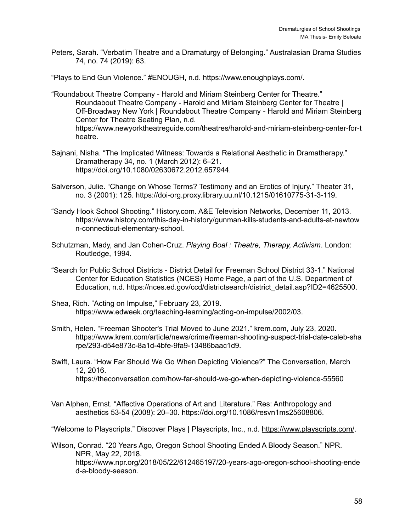Peters, Sarah. "Verbatim Theatre and a Dramaturgy of Belonging." Australasian Drama Studies 74, no. 74 (2019): 63.

"Plays to End Gun Violence." #ENOUGH, n.d. https://www.enoughplays.com/.

- "Roundabout Theatre Company Harold and Miriam Steinberg Center for Theatre." Roundabout Theatre Company - Harold and Miriam Steinberg Center for Theatre | Off-Broadway New York | Roundabout Theatre Company - Harold and Miriam Steinberg Center for Theatre Seating Plan, n.d. https://www.newyorktheatreguide.com/theatres/harold-and-miriam-steinberg-center-for-t heatre.
- Sajnani, Nisha. "The Implicated Witness: Towards a Relational Aesthetic in Dramatherapy." Dramatherapy 34, no. 1 (March 2012): 6–21. https://doi.org/10.1080/02630672.2012.657944.
- Salverson, Julie. "Change on Whose Terms? Testimony and an Erotics of Injury." Theater 31, no. 3 (2001): 125. https://doi-org.proxy.library.uu.nl/10.1215/01610775-31-3-119.
- "Sandy Hook School Shooting." History.com. A&E Television Networks, December 11, 2013. https://www.history.com/this-day-in-history/gunman-kills-students-and-adults-at-newtow n-connecticut-elementary-school.
- Schutzman, Mady, and Jan Cohen-Cruz. *Playing Boal : Theatre, Therapy, Activism*. London: Routledge, 1994.
- "Search for Public School Districts District Detail for Freeman School District 33-1." National Center for Education Statistics (NCES) Home Page, a part of the U.S. Department of Education, n.d. https://nces.ed.gov/ccd/districtsearch/district\_detail.asp?ID2=4625500.
- Shea, Rich. "Acting on Impulse," February 23, 2019. https://www.edweek.org/teaching-learning/acting-on-impulse/2002/03.
- Smith, Helen. "Freeman Shooter's Trial Moved to June 2021." krem.com, July 23, 2020. https://www.krem.com/article/news/crime/freeman-shooting-suspect-trial-date-caleb-sha rpe/293-d54e873c-8a1d-4bfe-9fa9-13486baac1d9.
- Swift, Laura. "How Far Should We Go When Depicting Violence?" The Conversation, March 12, 2016. https://theconversation.com/how-far-should-we-go-when-depicting-violence-55560
- Van Alphen, Ernst. "Affective Operations of Art and Literature." Res: Anthropology and aesthetics 53-54 (2008): 20–30. https://doi.org/10.1086/resvn1ms25608806.

"Welcome to Playscripts." Discover Plays | Playscripts, Inc., n.d. <https://www.playscripts.com/>.

Wilson, Conrad. "20 Years Ago, Oregon School Shooting Ended A Bloody Season." NPR. NPR, May 22, 2018. https://www.npr.org/2018/05/22/612465197/20-years-ago-oregon-school-shooting-ende d-a-bloody-season.